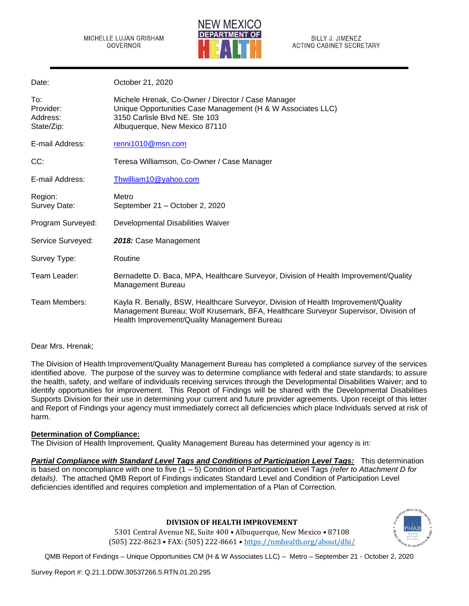

| Date:                                      | October 21, 2020                                                                                                                                                                                                          |
|--------------------------------------------|---------------------------------------------------------------------------------------------------------------------------------------------------------------------------------------------------------------------------|
| To:<br>Provider:<br>Address:<br>State/Zip: | Michele Hrenak, Co-Owner / Director / Case Manager<br>Unique Opportunities Case Management (H & W Associates LLC)<br>3150 Carlisle Blvd NE, Ste 103<br>Albuquerque, New Mexico 87110                                      |
| E-mail Address:                            | renni1010@msn.com                                                                                                                                                                                                         |
| CC:                                        | Teresa Williamson, Co-Owner / Case Manager                                                                                                                                                                                |
| E-mail Address:                            | Thwilliam10@yahoo.com                                                                                                                                                                                                     |
| Region:<br>Survey Date:                    | Metro<br>September 21 - October 2, 2020                                                                                                                                                                                   |
| Program Surveyed:                          | Developmental Disabilities Waiver                                                                                                                                                                                         |
| Service Surveyed:                          | 2018: Case Management                                                                                                                                                                                                     |
| Survey Type:                               | Routine                                                                                                                                                                                                                   |
| Team Leader:                               | Bernadette D. Baca, MPA, Healthcare Surveyor, Division of Health Improvement/Quality<br>Management Bureau                                                                                                                 |
| Team Members:                              | Kayla R. Benally, BSW, Healthcare Surveyor, Division of Health Improvement/Quality<br>Management Bureau; Wolf Krusemark, BFA, Healthcare Surveyor Supervisor, Division of<br>Health Improvement/Quality Management Bureau |

## Dear Mrs. Hrenak;

The Division of Health Improvement/Quality Management Bureau has completed a compliance survey of the services identified above. The purpose of the survey was to determine compliance with federal and state standards; to assure the health, safety, and welfare of individuals receiving services through the Developmental Disabilities Waiver; and to identify opportunities for improvement. This Report of Findings will be shared with the Developmental Disabilities Supports Division for their use in determining your current and future provider agreements. Upon receipt of this letter and Report of Findings your agency must immediately correct all deficiencies which place Individuals served at risk of harm.

## **Determination of Compliance:**

The Division of Health Improvement, Quality Management Bureau has determined your agency is in:

*Partial Compliance with Standard Level Tags and Conditions of Participation Level Tags:* This determination is based on noncompliance with one to five (1 – 5) Condition of Participation Level Tags *(refer to Attachment D for details)*. The attached QMB Report of Findings indicates Standard Level and Condition of Participation Level deficiencies identified and requires completion and implementation of a Plan of Correction.

## **DIVISION OF HEALTH IMPROVEMENT**

5301 Central Avenue NE, Suite 400 • Albuquerque, New Mexico • 87108 (505) 222-8623 • FAX: (505) 222-8661 • <https://nmhealth.org/about/dhi/>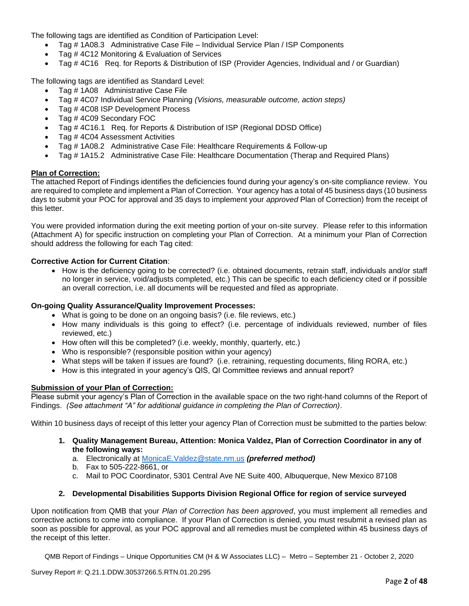The following tags are identified as Condition of Participation Level:

- Tag # 1A08.3 Administrative Case File Individual Service Plan / ISP Components
- Tag # 4C12 Monitoring & Evaluation of Services
- Tag # 4C16 Req. for Reports & Distribution of ISP (Provider Agencies, Individual and / or Guardian)

The following tags are identified as Standard Level:

- Tag # 1A08 Administrative Case File
- Tag # 4C07 Individual Service Planning *(Visions, measurable outcome, action steps)*
- Tag #4C08 ISP Development Process
- Tag #4C09 Secondary FOC
- Tag # 4C16.1 Req. for Reports & Distribution of ISP (Regional DDSD Office)
- Tag #4C04 Assessment Activities
- Tag # 1A08.2 Administrative Case File: Healthcare Requirements & Follow-up
- Tag # 1A15.2 Administrative Case File: Healthcare Documentation (Therap and Required Plans)

## **Plan of Correction:**

The attached Report of Findings identifies the deficiencies found during your agency's on-site compliance review. You are required to complete and implement a Plan of Correction. Your agency has a total of 45 business days (10 business days to submit your POC for approval and 35 days to implement your *approved* Plan of Correction) from the receipt of this letter.

You were provided information during the exit meeting portion of your on-site survey. Please refer to this information (Attachment A) for specific instruction on completing your Plan of Correction. At a minimum your Plan of Correction should address the following for each Tag cited:

## **Corrective Action for Current Citation**:

• How is the deficiency going to be corrected? (i.e. obtained documents, retrain staff, individuals and/or staff no longer in service, void/adjusts completed, etc.) This can be specific to each deficiency cited or if possible an overall correction, i.e. all documents will be requested and filed as appropriate.

# **On-going Quality Assurance/Quality Improvement Processes:**

- What is going to be done on an ongoing basis? (i.e. file reviews, etc.)
- How many individuals is this going to effect? (i.e. percentage of individuals reviewed, number of files reviewed, etc.)
- How often will this be completed? (i.e. weekly, monthly, quarterly, etc.)
- Who is responsible? (responsible position within your agency)
- What steps will be taken if issues are found? (i.e. retraining, requesting documents, filing RORA, etc.)
- How is this integrated in your agency's QIS, QI Committee reviews and annual report?

## **Submission of your Plan of Correction:**

Please submit your agency's Plan of Correction in the available space on the two right-hand columns of the Report of Findings. *(See attachment "A" for additional guidance in completing the Plan of Correction)*.

Within 10 business days of receipt of this letter your agency Plan of Correction must be submitted to the parties below:

- **1. Quality Management Bureau, Attention: Monica Valdez, Plan of Correction Coordinator in any of the following ways:**
	- a. Electronically at [MonicaE.Valdez@state.nm.us](mailto:MonicaE.Valdez@state.nm.us) *(preferred method)*
	- b. Fax to 505-222-8661, or
	- c. Mail to POC Coordinator, 5301 Central Ave NE Suite 400, Albuquerque, New Mexico 87108

## **2. Developmental Disabilities Supports Division Regional Office for region of service surveyed**

Upon notification from QMB that your *Plan of Correction has been approved*, you must implement all remedies and corrective actions to come into compliance. If your Plan of Correction is denied, you must resubmit a revised plan as soon as possible for approval, as your POC approval and all remedies must be completed within 45 business days of the receipt of this letter.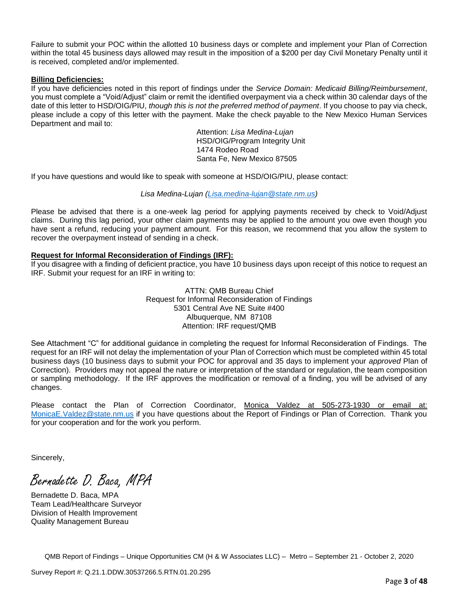Failure to submit your POC within the allotted 10 business days or complete and implement your Plan of Correction within the total 45 business days allowed may result in the imposition of a \$200 per day Civil Monetary Penalty until it is received, completed and/or implemented.

## **Billing Deficiencies:**

If you have deficiencies noted in this report of findings under the *Service Domain: Medicaid Billing/Reimbursement*, you must complete a "Void/Adjust" claim or remit the identified overpayment via a check within 30 calendar days of the date of this letter to HSD/OIG/PIU, *though this is not the preferred method of payment*. If you choose to pay via check, please include a copy of this letter with the payment. Make the check payable to the New Mexico Human Services Department and mail to:

Attention: *Lisa Medina-Lujan* HSD/OIG/Program Integrity Unit 1474 Rodeo Road Santa Fe, New Mexico 87505

If you have questions and would like to speak with someone at HSD/OIG/PIU, please contact:

# *Lisa Medina-Lujan [\(Lisa.medina-lujan@state.nm.us\)](mailto:Lisa.medina-lujan@state.nm.us)*

Please be advised that there is a one-week lag period for applying payments received by check to Void/Adjust claims. During this lag period, your other claim payments may be applied to the amount you owe even though you have sent a refund, reducing your payment amount. For this reason, we recommend that you allow the system to recover the overpayment instead of sending in a check.

## **Request for Informal Reconsideration of Findings (IRF):**

If you disagree with a finding of deficient practice, you have 10 business days upon receipt of this notice to request an IRF. Submit your request for an IRF in writing to:

> ATTN: QMB Bureau Chief Request for Informal Reconsideration of Findings 5301 Central Ave NE Suite #400 Albuquerque, NM 87108 Attention: IRF request/QMB

See Attachment "C" for additional guidance in completing the request for Informal Reconsideration of Findings. The request for an IRF will not delay the implementation of your Plan of Correction which must be completed within 45 total business days (10 business days to submit your POC for approval and 35 days to implement your *approved* Plan of Correction). Providers may not appeal the nature or interpretation of the standard or regulation, the team composition or sampling methodology. If the IRF approves the modification or removal of a finding, you will be advised of any changes.

Please contact the Plan of Correction Coordinator, Monica Valdez at 505-273-1930 or email at: [MonicaE.Valdez@state.nm.us](mailto:MonicaE.Valdez@state.nm.us) if you have questions about the Report of Findings or Plan of Correction. Thank you for your cooperation and for the work you perform.

Sincerely,

Bernadette D. Baca, MPA

Bernadette D. Baca, MPA Team Lead/Healthcare Surveyor Division of Health Improvement Quality Management Bureau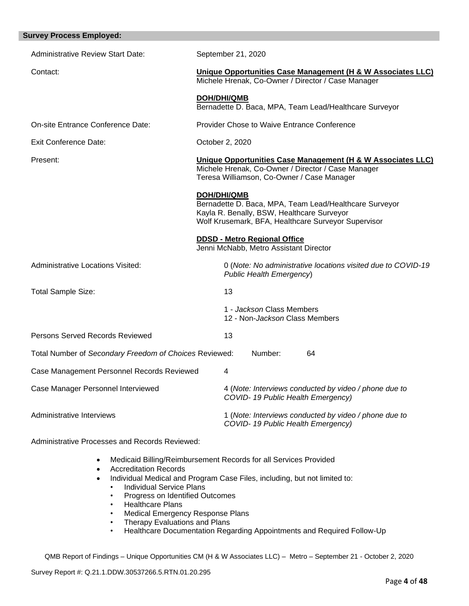| <b>Survey Process Employed:</b>                        |                                                                                                                                                                                   |
|--------------------------------------------------------|-----------------------------------------------------------------------------------------------------------------------------------------------------------------------------------|
| <b>Administrative Review Start Date:</b>               | September 21, 2020                                                                                                                                                                |
| Contact:                                               | Unique Opportunities Case Management (H & W Associates LLC)<br>Michele Hrenak, Co-Owner / Director / Case Manager                                                                 |
|                                                        | <b>DOH/DHI/QMB</b><br>Bernadette D. Baca, MPA, Team Lead/Healthcare Surveyor                                                                                                      |
| On-site Entrance Conference Date:                      | <b>Provider Chose to Waive Entrance Conference</b>                                                                                                                                |
| <b>Exit Conference Date:</b>                           | October 2, 2020                                                                                                                                                                   |
| Present:                                               | Unique Opportunities Case Management (H & W Associates LLC)<br>Michele Hrenak, Co-Owner / Director / Case Manager<br>Teresa Williamson, Co-Owner / Case Manager                   |
|                                                        | <b>DOH/DHI/QMB</b><br>Bernadette D. Baca, MPA, Team Lead/Healthcare Surveyor<br>Kayla R. Benally, BSW, Healthcare Surveyor<br>Wolf Krusemark, BFA, Healthcare Surveyor Supervisor |
|                                                        | <b>DDSD - Metro Regional Office</b><br>Jenni McNabb, Metro Assistant Director                                                                                                     |
| <b>Administrative Locations Visited:</b>               | 0 (Note: No administrative locations visited due to COVID-19<br>Public Health Emergency)                                                                                          |
| <b>Total Sample Size:</b>                              | 13                                                                                                                                                                                |
|                                                        | 1 - Jackson Class Members<br>12 - Non-Jackson Class Members                                                                                                                       |
| Persons Served Records Reviewed                        | 13                                                                                                                                                                                |
| Total Number of Secondary Freedom of Choices Reviewed: | Number:<br>64                                                                                                                                                                     |
| Case Management Personnel Records Reviewed             | 4                                                                                                                                                                                 |
| Case Manager Personnel Interviewed                     | 4 (Note: Interviews conducted by video / phone due to<br>COVID-19 Public Health Emergency)                                                                                        |
| Administrative Interviews                              | 1 (Note: Interviews conducted by video / phone due to<br>COVID-19 Public Health Emergency)                                                                                        |

Administrative Processes and Records Reviewed:

- Medicaid Billing/Reimbursement Records for all Services Provided
- Accreditation Records
- Individual Medical and Program Case Files, including, but not limited to:
	- Individual Service Plans
	- Progress on Identified Outcomes
	- Healthcare Plans
	- Medical Emergency Response Plans
	- Therapy Evaluations and Plans
	- Healthcare Documentation Regarding Appointments and Required Follow-Up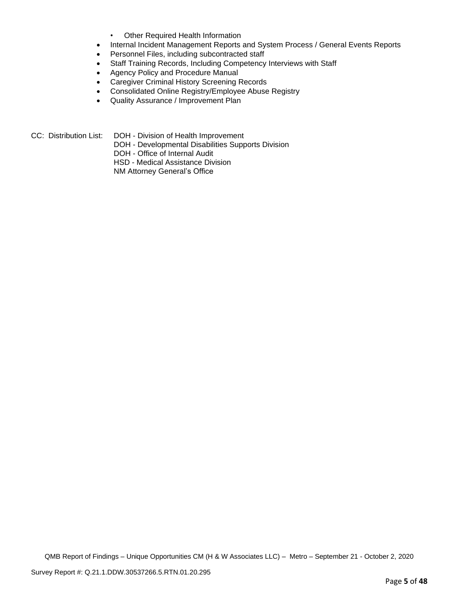- Other Required Health Information
- Internal Incident Management Reports and System Process / General Events Reports
- Personnel Files, including subcontracted staff
- Staff Training Records, Including Competency Interviews with Staff
- Agency Policy and Procedure Manual
- Caregiver Criminal History Screening Records
- Consolidated Online Registry/Employee Abuse Registry
- Quality Assurance / Improvement Plan

CC: Distribution List: DOH - Division of Health Improvement

- DOH Developmental Disabilities Supports Division
	- DOH Office of Internal Audit
	- HSD Medical Assistance Division

NM Attorney General's Office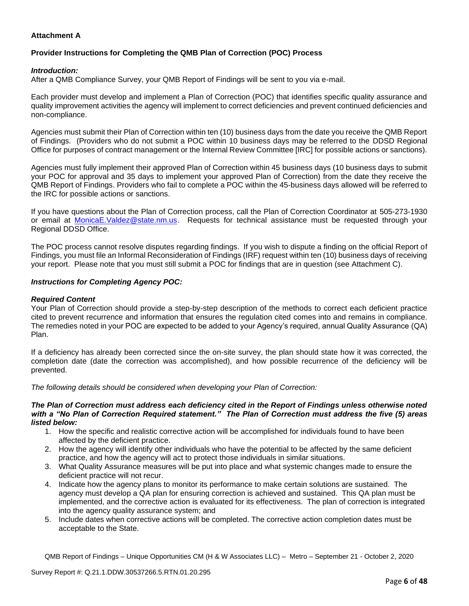# **Attachment A**

# **Provider Instructions for Completing the QMB Plan of Correction (POC) Process**

## *Introduction:*

After a QMB Compliance Survey, your QMB Report of Findings will be sent to you via e-mail.

Each provider must develop and implement a Plan of Correction (POC) that identifies specific quality assurance and quality improvement activities the agency will implement to correct deficiencies and prevent continued deficiencies and non-compliance.

Agencies must submit their Plan of Correction within ten (10) business days from the date you receive the QMB Report of Findings. (Providers who do not submit a POC within 10 business days may be referred to the DDSD Regional Office for purposes of contract management or the Internal Review Committee [IRC] for possible actions or sanctions).

Agencies must fully implement their approved Plan of Correction within 45 business days (10 business days to submit your POC for approval and 35 days to implement your approved Plan of Correction) from the date they receive the QMB Report of Findings. Providers who fail to complete a POC within the 45-business days allowed will be referred to the IRC for possible actions or sanctions.

If you have questions about the Plan of Correction process, call the Plan of Correction Coordinator at 505-273-1930 or email at [MonicaE.Valdez@state.nm.us.](mailto:MonicaE.Valdez@state.nm.us) Requests for technical assistance must be requested through your Regional DDSD Office.

The POC process cannot resolve disputes regarding findings. If you wish to dispute a finding on the official Report of Findings, you must file an Informal Reconsideration of Findings (IRF) request within ten (10) business days of receiving your report. Please note that you must still submit a POC for findings that are in question (see Attachment C).

## *Instructions for Completing Agency POC:*

## *Required Content*

Your Plan of Correction should provide a step-by-step description of the methods to correct each deficient practice cited to prevent recurrence and information that ensures the regulation cited comes into and remains in compliance. The remedies noted in your POC are expected to be added to your Agency's required, annual Quality Assurance (QA) Plan.

If a deficiency has already been corrected since the on-site survey, the plan should state how it was corrected, the completion date (date the correction was accomplished), and how possible recurrence of the deficiency will be prevented.

*The following details should be considered when developing your Plan of Correction:*

#### *The Plan of Correction must address each deficiency cited in the Report of Findings unless otherwise noted with a "No Plan of Correction Required statement." The Plan of Correction must address the five (5) areas listed below:*

- 1. How the specific and realistic corrective action will be accomplished for individuals found to have been affected by the deficient practice.
- 2. How the agency will identify other individuals who have the potential to be affected by the same deficient practice, and how the agency will act to protect those individuals in similar situations.
- 3. What Quality Assurance measures will be put into place and what systemic changes made to ensure the deficient practice will not recur.
- 4. Indicate how the agency plans to monitor its performance to make certain solutions are sustained. The agency must develop a QA plan for ensuring correction is achieved and sustained. This QA plan must be implemented, and the corrective action is evaluated for its effectiveness. The plan of correction is integrated into the agency quality assurance system; and
- 5. Include dates when corrective actions will be completed. The corrective action completion dates must be acceptable to the State.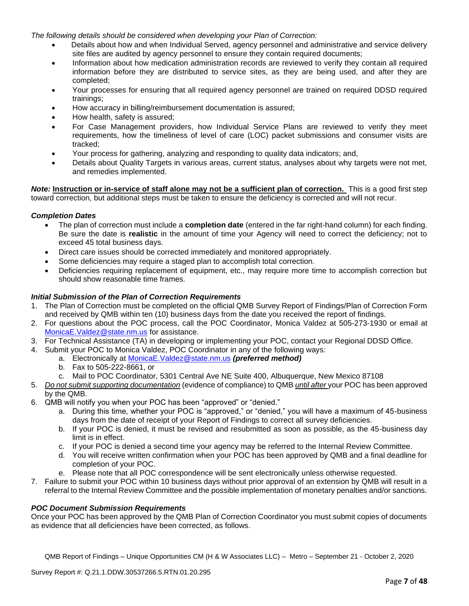*The following details should be considered when developing your Plan of Correction:*

- Details about how and when Individual Served, agency personnel and administrative and service delivery site files are audited by agency personnel to ensure they contain required documents;
- Information about how medication administration records are reviewed to verify they contain all required information before they are distributed to service sites, as they are being used, and after they are completed;
- Your processes for ensuring that all required agency personnel are trained on required DDSD required trainings;
- How accuracy in billing/reimbursement documentation is assured;
- How health, safety is assured;
- For Case Management providers, how Individual Service Plans are reviewed to verify they meet requirements, how the timeliness of level of care (LOC) packet submissions and consumer visits are tracked;
- Your process for gathering, analyzing and responding to quality data indicators; and,
- Details about Quality Targets in various areas, current status, analyses about why targets were not met, and remedies implemented.

*Note:* **Instruction or in-service of staff alone may not be a sufficient plan of correction.** This is a good first step toward correction, but additional steps must be taken to ensure the deficiency is corrected and will not recur.

## *Completion Dates*

- The plan of correction must include a **completion date** (entered in the far right-hand column) for each finding. Be sure the date is **realistic** in the amount of time your Agency will need to correct the deficiency; not to exceed 45 total business days.
- Direct care issues should be corrected immediately and monitored appropriately.
- Some deficiencies may require a staged plan to accomplish total correction.
- Deficiencies requiring replacement of equipment, etc., may require more time to accomplish correction but should show reasonable time frames.

## *Initial Submission of the Plan of Correction Requirements*

- 1. The Plan of Correction must be completed on the official QMB Survey Report of Findings/Plan of Correction Form and received by QMB within ten (10) business days from the date you received the report of findings.
- 2. For questions about the POC process, call the POC Coordinator, Monica Valdez at 505-273-1930 or email at [MonicaE.Valdez@state.nm.us](mailto:MonicaE.Valdez@state.nm.us) for assistance.
- 3. For Technical Assistance (TA) in developing or implementing your POC, contact your Regional DDSD Office.
- 4. Submit your POC to Monica Valdez, POC Coordinator in any of the following ways:
	- a. Electronically at [MonicaE.Valdez@state.nm.us](mailto:MonicaE.Valdez@state.nm.us) *(preferred method)*
	- b. Fax to 505-222-8661, or
	- c. Mail to POC Coordinator, 5301 Central Ave NE Suite 400, Albuquerque, New Mexico 87108
- 5. *Do not submit supporting documentation* (evidence of compliance) to QMB *until after* your POC has been approved by the QMB.
- 6. QMB will notify you when your POC has been "approved" or "denied."
	- a. During this time, whether your POC is "approved," or "denied," you will have a maximum of 45-business days from the date of receipt of your Report of Findings to correct all survey deficiencies.
	- b. If your POC is denied, it must be revised and resubmitted as soon as possible, as the 45-business day limit is in effect.
	- c. If your POC is denied a second time your agency may be referred to the Internal Review Committee.
	- d. You will receive written confirmation when your POC has been approved by QMB and a final deadline for completion of your POC.
	- e. Please note that all POC correspondence will be sent electronically unless otherwise requested.
- 7. Failure to submit your POC within 10 business days without prior approval of an extension by QMB will result in a referral to the Internal Review Committee and the possible implementation of monetary penalties and/or sanctions.

## *POC Document Submission Requirements*

Once your POC has been approved by the QMB Plan of Correction Coordinator you must submit copies of documents as evidence that all deficiencies have been corrected, as follows.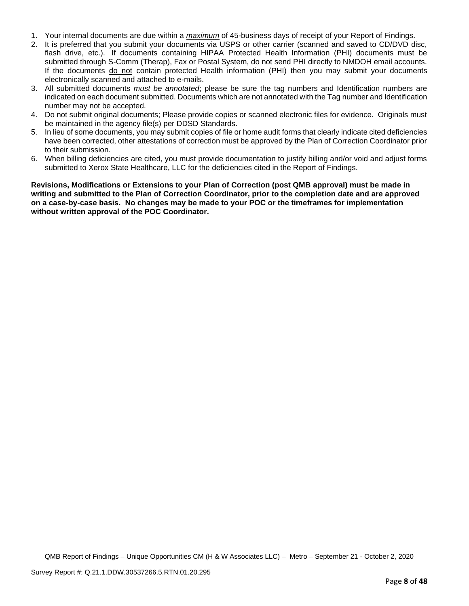- 1. Your internal documents are due within a *maximum* of 45-business days of receipt of your Report of Findings.
- 2. It is preferred that you submit your documents via USPS or other carrier (scanned and saved to CD/DVD disc, flash drive, etc.). If documents containing HIPAA Protected Health Information (PHI) documents must be submitted through S-Comm (Therap), Fax or Postal System, do not send PHI directly to NMDOH email accounts. If the documents do not contain protected Health information (PHI) then you may submit your documents electronically scanned and attached to e-mails.
- 3. All submitted documents *must be annotated*; please be sure the tag numbers and Identification numbers are indicated on each document submitted. Documents which are not annotated with the Tag number and Identification number may not be accepted.
- 4. Do not submit original documents; Please provide copies or scanned electronic files for evidence. Originals must be maintained in the agency file(s) per DDSD Standards.
- 5. In lieu of some documents, you may submit copies of file or home audit forms that clearly indicate cited deficiencies have been corrected, other attestations of correction must be approved by the Plan of Correction Coordinator prior to their submission.
- 6. When billing deficiencies are cited, you must provide documentation to justify billing and/or void and adjust forms submitted to Xerox State Healthcare, LLC for the deficiencies cited in the Report of Findings.

**Revisions, Modifications or Extensions to your Plan of Correction (post QMB approval) must be made in writing and submitted to the Plan of Correction Coordinator, prior to the completion date and are approved on a case-by-case basis. No changes may be made to your POC or the timeframes for implementation without written approval of the POC Coordinator.**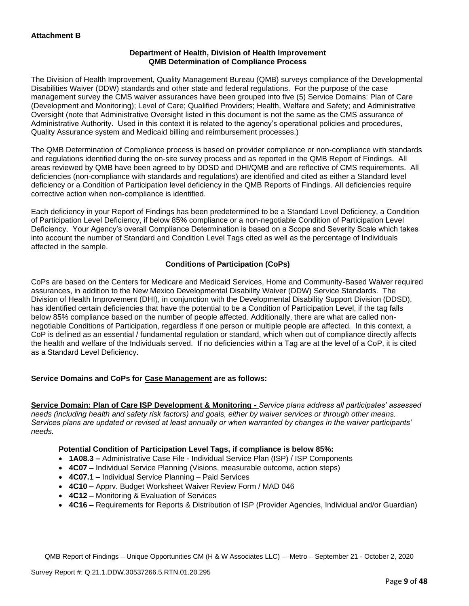## **Department of Health, Division of Health Improvement QMB Determination of Compliance Process**

The Division of Health Improvement, Quality Management Bureau (QMB) surveys compliance of the Developmental Disabilities Waiver (DDW) standards and other state and federal regulations. For the purpose of the case management survey the CMS waiver assurances have been grouped into five (5) Service Domains: Plan of Care (Development and Monitoring); Level of Care; Qualified Providers; Health, Welfare and Safety; and Administrative Oversight (note that Administrative Oversight listed in this document is not the same as the CMS assurance of Administrative Authority. Used in this context it is related to the agency's operational policies and procedures, Quality Assurance system and Medicaid billing and reimbursement processes.)

The QMB Determination of Compliance process is based on provider compliance or non-compliance with standards and regulations identified during the on-site survey process and as reported in the QMB Report of Findings. All areas reviewed by QMB have been agreed to by DDSD and DHI/QMB and are reflective of CMS requirements. All deficiencies (non-compliance with standards and regulations) are identified and cited as either a Standard level deficiency or a Condition of Participation level deficiency in the QMB Reports of Findings. All deficiencies require corrective action when non-compliance is identified.

Each deficiency in your Report of Findings has been predetermined to be a Standard Level Deficiency, a Condition of Participation Level Deficiency, if below 85% compliance or a non-negotiable Condition of Participation Level Deficiency. Your Agency's overall Compliance Determination is based on a Scope and Severity Scale which takes into account the number of Standard and Condition Level Tags cited as well as the percentage of Individuals affected in the sample.

# **Conditions of Participation (CoPs)**

CoPs are based on the Centers for Medicare and Medicaid Services, Home and Community-Based Waiver required assurances, in addition to the New Mexico Developmental Disability Waiver (DDW) Service Standards. The Division of Health Improvement (DHI), in conjunction with the Developmental Disability Support Division (DDSD), has identified certain deficiencies that have the potential to be a Condition of Participation Level, if the tag falls below 85% compliance based on the number of people affected. Additionally, there are what are called nonnegotiable Conditions of Participation, regardless if one person or multiple people are affected. In this context, a CoP is defined as an essential / fundamental regulation or standard, which when out of compliance directly affects the health and welfare of the Individuals served. If no deficiencies within a Tag are at the level of a CoP, it is cited as a Standard Level Deficiency.

# **Service Domains and CoPs for Case Management are as follows:**

**Service Domain: Plan of Care ISP Development & Monitoring -** *Service plans address all participates' assessed needs (including health and safety risk factors) and goals, either by waiver services or through other means. Services plans are updated or revised at least annually or when warranted by changes in the waiver participants' needs.*

# **Potential Condition of Participation Level Tags, if compliance is below 85%:**

- **1A08.3 –** Administrative Case File Individual Service Plan (ISP) / ISP Components
- **4C07 –** Individual Service Planning (Visions, measurable outcome, action steps)
- **4C07.1 –** Individual Service Planning Paid Services
- **4C10 –** Apprv. Budget Worksheet Waiver Review Form / MAD 046
- **4C12 –** Monitoring & Evaluation of Services
- **4C16 –** Requirements for Reports & Distribution of ISP (Provider Agencies, Individual and/or Guardian)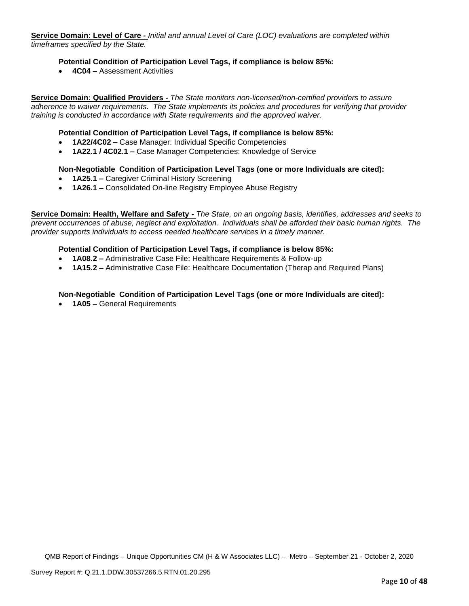**Service Domain: Level of Care -** *Initial and annual Level of Care (LOC) evaluations are completed within timeframes specified by the State.*

## **Potential Condition of Participation Level Tags, if compliance is below 85%:**

• **4C04 –** Assessment Activities

**Service Domain: Qualified Providers -** *The State monitors non-licensed/non-certified providers to assure adherence to waiver requirements. The State implements its policies and procedures for verifying that provider training is conducted in accordance with State requirements and the approved waiver.*

## **Potential Condition of Participation Level Tags, if compliance is below 85%:**

- **1A22/4C02 –** Case Manager: Individual Specific Competencies
- **1A22.1 / 4C02.1 –** Case Manager Competencies: Knowledge of Service

#### **Non-Negotiable Condition of Participation Level Tags (one or more Individuals are cited):**

- **1A25.1 –** Caregiver Criminal History Screening
- **1A26.1 –** Consolidated On-line Registry Employee Abuse Registry

**Service Domain: Health, Welfare and Safety -** *The State, on an ongoing basis, identifies, addresses and seeks to prevent occurrences of abuse, neglect and exploitation. Individuals shall be afforded their basic human rights. The provider supports individuals to access needed healthcare services in a timely manner.*

#### **Potential Condition of Participation Level Tags, if compliance is below 85%:**

- **1A08.2 –** Administrative Case File: Healthcare Requirements & Follow-up
- **1A15.2 –** Administrative Case File: Healthcare Documentation (Therap and Required Plans)

#### **Non-Negotiable Condition of Participation Level Tags (one or more Individuals are cited):**

• **1A05 –** General Requirements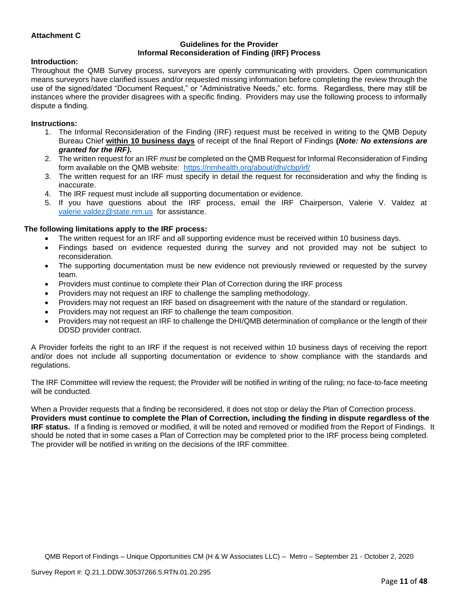## **Attachment C**

#### **Guidelines for the Provider Informal Reconsideration of Finding (IRF) Process**

#### **Introduction:**

Throughout the QMB Survey process, surveyors are openly communicating with providers. Open communication means surveyors have clarified issues and/or requested missing information before completing the review through the use of the signed/dated "Document Request," or "Administrative Needs," etc. forms. Regardless, there may still be instances where the provider disagrees with a specific finding. Providers may use the following process to informally dispute a finding.

#### **Instructions:**

- 1. The Informal Reconsideration of the Finding (IRF) request must be received in writing to the QMB Deputy Bureau Chief **within 10 business days** of receipt of the final Report of Findings **(***Note: No extensions are granted for the IRF)***.**
- 2. The written request for an IRF *must* be completed on the QMB Request for Informal Reconsideration of Finding form available on the QMB website: <https://nmhealth.org/about/dhi/cbp/irf/>
- 3. The written request for an IRF must specify in detail the request for reconsideration and why the finding is inaccurate.
- 4. The IRF request must include all supporting documentation or evidence.
- 5. If you have questions about the IRF process, email the IRF Chairperson, Valerie V. Valdez at [valerie.valdez@state.nm.us](mailto:valerie.valdez@state.nm.us) for assistance.

#### **The following limitations apply to the IRF process:**

- The written request for an IRF and all supporting evidence must be received within 10 business days.
- Findings based on evidence requested during the survey and not provided may not be subject to reconsideration.
- The supporting documentation must be new evidence not previously reviewed or requested by the survey team.
- Providers must continue to complete their Plan of Correction during the IRF process
- Providers may not request an IRF to challenge the sampling methodology.
- Providers may not request an IRF based on disagreement with the nature of the standard or regulation.
- Providers may not request an IRF to challenge the team composition.
- Providers may not request an IRF to challenge the DHI/QMB determination of compliance or the length of their DDSD provider contract.

A Provider forfeits the right to an IRF if the request is not received within 10 business days of receiving the report and/or does not include all supporting documentation or evidence to show compliance with the standards and regulations.

The IRF Committee will review the request; the Provider will be notified in writing of the ruling; no face-to-face meeting will be conducted.

When a Provider requests that a finding be reconsidered, it does not stop or delay the Plan of Correction process. **Providers must continue to complete the Plan of Correction, including the finding in dispute regardless of the IRF status.** If a finding is removed or modified, it will be noted and removed or modified from the Report of Findings. It should be noted that in some cases a Plan of Correction may be completed prior to the IRF process being completed. The provider will be notified in writing on the decisions of the IRF committee.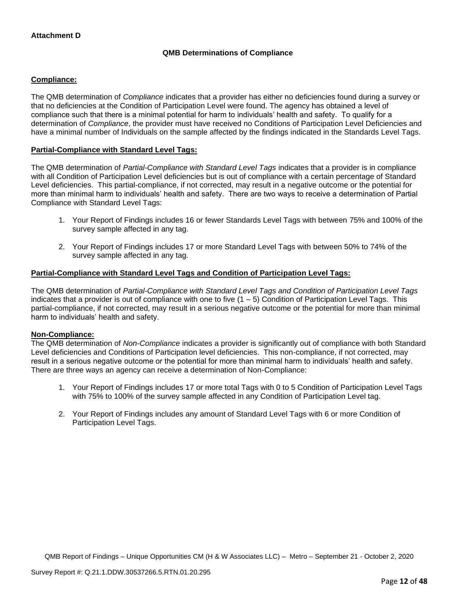# **QMB Determinations of Compliance**

## **Compliance:**

The QMB determination of *Compliance* indicates that a provider has either no deficiencies found during a survey or that no deficiencies at the Condition of Participation Level were found. The agency has obtained a level of compliance such that there is a minimal potential for harm to individuals' health and safety. To qualify for a determination of *Compliance*, the provider must have received no Conditions of Participation Level Deficiencies and have a minimal number of Individuals on the sample affected by the findings indicated in the Standards Level Tags.

## **Partial-Compliance with Standard Level Tags:**

The QMB determination of *Partial-Compliance with Standard Level Tags* indicates that a provider is in compliance with all Condition of Participation Level deficiencies but is out of compliance with a certain percentage of Standard Level deficiencies. This partial-compliance, if not corrected, may result in a negative outcome or the potential for more than minimal harm to individuals' health and safety. There are two ways to receive a determination of Partial Compliance with Standard Level Tags:

- 1. Your Report of Findings includes 16 or fewer Standards Level Tags with between 75% and 100% of the survey sample affected in any tag.
- 2. Your Report of Findings includes 17 or more Standard Level Tags with between 50% to 74% of the survey sample affected in any tag.

# **Partial-Compliance with Standard Level Tags and Condition of Participation Level Tags:**

The QMB determination of *Partial-Compliance with Standard Level Tags and Condition of Participation Level Tags*  indicates that a provider is out of compliance with one to five  $(1 - 5)$  Condition of Participation Level Tags. This partial-compliance, if not corrected, may result in a serious negative outcome or the potential for more than minimal harm to individuals' health and safety.

## **Non-Compliance:**

The QMB determination of *Non-Compliance* indicates a provider is significantly out of compliance with both Standard Level deficiencies and Conditions of Participation level deficiencies. This non-compliance, if not corrected, may result in a serious negative outcome or the potential for more than minimal harm to individuals' health and safety. There are three ways an agency can receive a determination of Non-Compliance:

- 1. Your Report of Findings includes 17 or more total Tags with 0 to 5 Condition of Participation Level Tags with 75% to 100% of the survey sample affected in any Condition of Participation Level tag.
- 2. Your Report of Findings includes any amount of Standard Level Tags with 6 or more Condition of Participation Level Tags.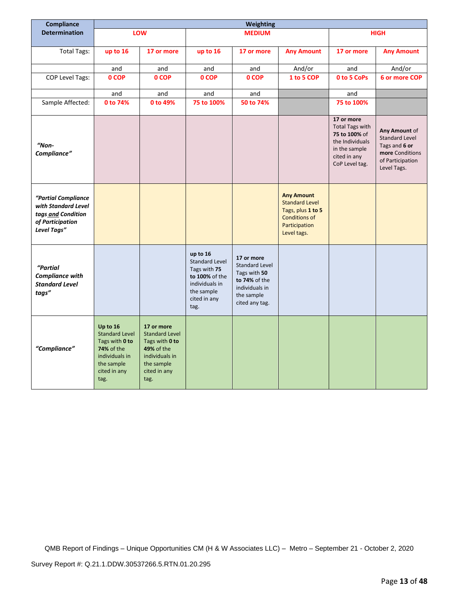| Compliance                                                                                          | Weighting                                                                                                                 |                                                                                                                                    |                                                                                                                             |                                                                                                                        |                                                                                                                         |                                                                                                                             |                                                                                                               |
|-----------------------------------------------------------------------------------------------------|---------------------------------------------------------------------------------------------------------------------------|------------------------------------------------------------------------------------------------------------------------------------|-----------------------------------------------------------------------------------------------------------------------------|------------------------------------------------------------------------------------------------------------------------|-------------------------------------------------------------------------------------------------------------------------|-----------------------------------------------------------------------------------------------------------------------------|---------------------------------------------------------------------------------------------------------------|
| <b>Determination</b>                                                                                |                                                                                                                           | LOW                                                                                                                                |                                                                                                                             | <b>MEDIUM</b>                                                                                                          |                                                                                                                         |                                                                                                                             | <b>HIGH</b>                                                                                                   |
|                                                                                                     |                                                                                                                           |                                                                                                                                    |                                                                                                                             |                                                                                                                        |                                                                                                                         |                                                                                                                             |                                                                                                               |
| <b>Total Tags:</b>                                                                                  | up to 16                                                                                                                  | 17 or more                                                                                                                         | up to 16                                                                                                                    | 17 or more                                                                                                             | <b>Any Amount</b>                                                                                                       | 17 or more                                                                                                                  | <b>Any Amount</b>                                                                                             |
|                                                                                                     | and                                                                                                                       | and                                                                                                                                | and                                                                                                                         | and                                                                                                                    | And/or                                                                                                                  | and                                                                                                                         | And/or                                                                                                        |
| COP Level Tags:                                                                                     | 0 COP                                                                                                                     | 0 COP                                                                                                                              | 0 COP                                                                                                                       | 0 COP                                                                                                                  | 1 to 5 COP                                                                                                              | 0 to 5 CoPs                                                                                                                 | 6 or more COP                                                                                                 |
|                                                                                                     | and                                                                                                                       | and                                                                                                                                | and                                                                                                                         | and                                                                                                                    |                                                                                                                         | and                                                                                                                         |                                                                                                               |
| Sample Affected:                                                                                    | 0 to 74%                                                                                                                  | 0 to 49%                                                                                                                           | 75 to 100%                                                                                                                  | 50 to 74%                                                                                                              |                                                                                                                         | 75 to 100%                                                                                                                  |                                                                                                               |
| "Non-<br>Compliance"                                                                                |                                                                                                                           |                                                                                                                                    |                                                                                                                             |                                                                                                                        |                                                                                                                         | 17 or more<br><b>Total Tags with</b><br>75 to 100% of<br>the Individuals<br>in the sample<br>cited in any<br>CoP Level tag. | Any Amount of<br><b>Standard Level</b><br>Tags and 6 or<br>more Conditions<br>of Participation<br>Level Tags. |
| "Partial Compliance<br>with Standard Level<br>tags and Condition<br>of Participation<br>Level Tags" |                                                                                                                           |                                                                                                                                    |                                                                                                                             |                                                                                                                        | <b>Any Amount</b><br><b>Standard Level</b><br>Tags, plus 1 to 5<br><b>Conditions of</b><br>Participation<br>Level tags. |                                                                                                                             |                                                                                                               |
| "Partial<br><b>Compliance with</b><br><b>Standard Level</b><br>tags"                                |                                                                                                                           |                                                                                                                                    | up to 16<br><b>Standard Level</b><br>Tags with 75<br>to 100% of the<br>individuals in<br>the sample<br>cited in any<br>tag. | 17 or more<br><b>Standard Level</b><br>Tags with 50<br>to 74% of the<br>individuals in<br>the sample<br>cited any tag. |                                                                                                                         |                                                                                                                             |                                                                                                               |
| "Compliance"                                                                                        | Up to 16<br><b>Standard Level</b><br>Tags with 0 to<br>74% of the<br>individuals in<br>the sample<br>cited in any<br>tag. | 17 or more<br><b>Standard Level</b><br>Tags with 0 to<br><b>49% of the</b><br>individuals in<br>the sample<br>cited in any<br>tag. |                                                                                                                             |                                                                                                                        |                                                                                                                         |                                                                                                                             |                                                                                                               |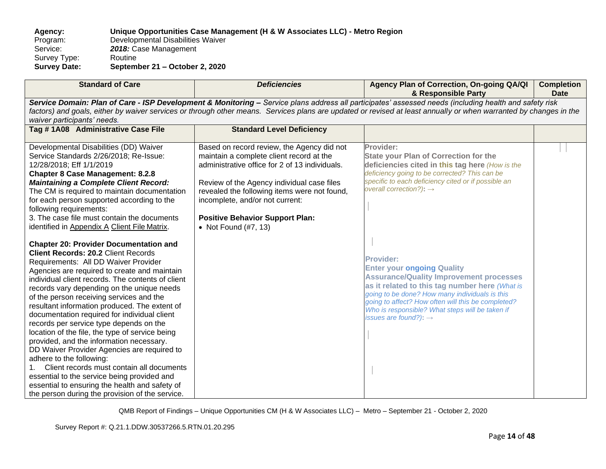**Agency: Unique Opportunities Case Management (H & W Associates LLC) - Metro Region** Program: Developmental Disabilities Waiver<br>Service: 2018: Case Management 2018: Case Management<br>Routine Survey Type:<br>Survey Date: **Survey Date: September 21 – October 2, 2020**

| <b>Standard of Care</b>                                                                                                                                                                                                                                                                                                                                                                                                                                                                                                                                                                                                                                                                                                                                                                                                                                                                                                                                                                                                                                                                                                                                                                                                                                                                      | <b>Deficiencies</b>                                                                                                                                                                                                                                                                                                                         | Agency Plan of Correction, On-going QA/QI<br>& Responsible Party                                                                                                                                                                                                                                                                                                                                                                                                                                                                                                                                                         | <b>Completion</b><br><b>Date</b> |  |
|----------------------------------------------------------------------------------------------------------------------------------------------------------------------------------------------------------------------------------------------------------------------------------------------------------------------------------------------------------------------------------------------------------------------------------------------------------------------------------------------------------------------------------------------------------------------------------------------------------------------------------------------------------------------------------------------------------------------------------------------------------------------------------------------------------------------------------------------------------------------------------------------------------------------------------------------------------------------------------------------------------------------------------------------------------------------------------------------------------------------------------------------------------------------------------------------------------------------------------------------------------------------------------------------|---------------------------------------------------------------------------------------------------------------------------------------------------------------------------------------------------------------------------------------------------------------------------------------------------------------------------------------------|--------------------------------------------------------------------------------------------------------------------------------------------------------------------------------------------------------------------------------------------------------------------------------------------------------------------------------------------------------------------------------------------------------------------------------------------------------------------------------------------------------------------------------------------------------------------------------------------------------------------------|----------------------------------|--|
| Service Domain: Plan of Care - ISP Development & Monitoring - Service plans address all participates' assessed needs (including health and safety risk<br>factors) and goals, either by waiver services or through other means. Services plans are updated or revised at least annually or when warranted by changes in the<br>waiver participants' needs.                                                                                                                                                                                                                                                                                                                                                                                                                                                                                                                                                                                                                                                                                                                                                                                                                                                                                                                                   |                                                                                                                                                                                                                                                                                                                                             |                                                                                                                                                                                                                                                                                                                                                                                                                                                                                                                                                                                                                          |                                  |  |
| Tag #1A08 Administrative Case File                                                                                                                                                                                                                                                                                                                                                                                                                                                                                                                                                                                                                                                                                                                                                                                                                                                                                                                                                                                                                                                                                                                                                                                                                                                           | <b>Standard Level Deficiency</b>                                                                                                                                                                                                                                                                                                            |                                                                                                                                                                                                                                                                                                                                                                                                                                                                                                                                                                                                                          |                                  |  |
| Developmental Disabilities (DD) Waiver<br>Service Standards 2/26/2018; Re-Issue:<br>12/28/2018; Eff 1/1/2019<br><b>Chapter 8 Case Management: 8.2.8</b><br><b>Maintaining a Complete Client Record:</b><br>The CM is required to maintain documentation<br>for each person supported according to the<br>following requirements:<br>3. The case file must contain the documents<br>identified in Appendix A Client File Matrix.<br><b>Chapter 20: Provider Documentation and</b><br><b>Client Records: 20.2 Client Records</b><br>Requirements: All DD Waiver Provider<br>Agencies are required to create and maintain<br>individual client records. The contents of client<br>records vary depending on the unique needs<br>of the person receiving services and the<br>resultant information produced. The extent of<br>documentation required for individual client<br>records per service type depends on the<br>location of the file, the type of service being<br>provided, and the information necessary.<br>DD Waiver Provider Agencies are required to<br>adhere to the following:<br>Client records must contain all documents<br>essential to the service being provided and<br>essential to ensuring the health and safety of<br>the person during the provision of the service. | Based on record review, the Agency did not<br>maintain a complete client record at the<br>administrative office for 2 of 13 individuals.<br>Review of the Agency individual case files<br>revealed the following items were not found,<br>incomplete, and/or not current:<br><b>Positive Behavior Support Plan:</b><br>• Not Found (#7, 13) | Provider:<br><b>State your Plan of Correction for the</b><br>deficiencies cited in this tag here (How is the<br>deficiency going to be corrected? This can be<br>specific to each deficiency cited or if possible an<br>overall correction?): $\rightarrow$<br><b>Provider:</b><br><b>Enter your ongoing Quality</b><br><b>Assurance/Quality Improvement processes</b><br>as it related to this tag number here (What is<br>going to be done? How many individuals is this<br>going to affect? How often will this be completed?<br>Who is responsible? What steps will be taken if<br>issues are found?): $\rightarrow$ |                                  |  |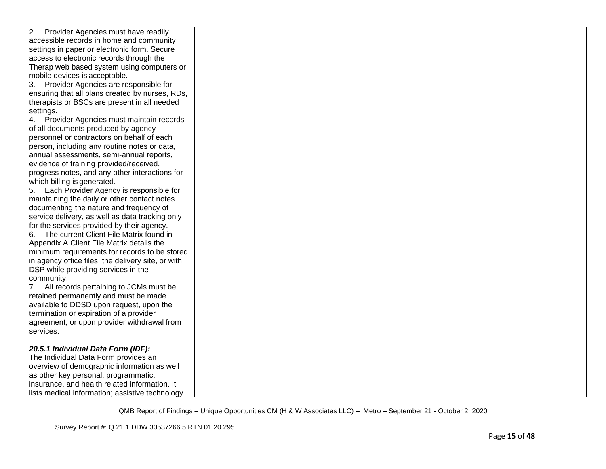| 2.<br>Provider Agencies must have readily          |  |  |
|----------------------------------------------------|--|--|
| accessible records in home and community           |  |  |
| settings in paper or electronic form. Secure       |  |  |
| access to electronic records through the           |  |  |
| Therap web based system using computers or         |  |  |
| mobile devices is acceptable.                      |  |  |
| 3. Provider Agencies are responsible for           |  |  |
| ensuring that all plans created by nurses, RDs,    |  |  |
| therapists or BSCs are present in all needed       |  |  |
| settings.                                          |  |  |
| 4. Provider Agencies must maintain records         |  |  |
| of all documents produced by agency                |  |  |
| personnel or contractors on behalf of each         |  |  |
| person, including any routine notes or data,       |  |  |
| annual assessments, semi-annual reports,           |  |  |
| evidence of training provided/received,            |  |  |
| progress notes, and any other interactions for     |  |  |
| which billing is generated.                        |  |  |
| 5. Each Provider Agency is responsible for         |  |  |
| maintaining the daily or other contact notes       |  |  |
| documenting the nature and frequency of            |  |  |
| service delivery, as well as data tracking only    |  |  |
| for the services provided by their agency.         |  |  |
| 6. The current Client File Matrix found in         |  |  |
| Appendix A Client File Matrix details the          |  |  |
| minimum requirements for records to be stored      |  |  |
| in agency office files, the delivery site, or with |  |  |
| DSP while providing services in the                |  |  |
| community.                                         |  |  |
| 7. All records pertaining to JCMs must be          |  |  |
| retained permanently and must be made              |  |  |
| available to DDSD upon request, upon the           |  |  |
| termination or expiration of a provider            |  |  |
| agreement, or upon provider withdrawal from        |  |  |
| services.                                          |  |  |
|                                                    |  |  |
| 20.5.1 Individual Data Form (IDF):                 |  |  |
| The Individual Data Form provides an               |  |  |
| overview of demographic information as well        |  |  |
| as other key personal, programmatic,               |  |  |
| insurance, and health related information. It      |  |  |
| lists medical information; assistive technology    |  |  |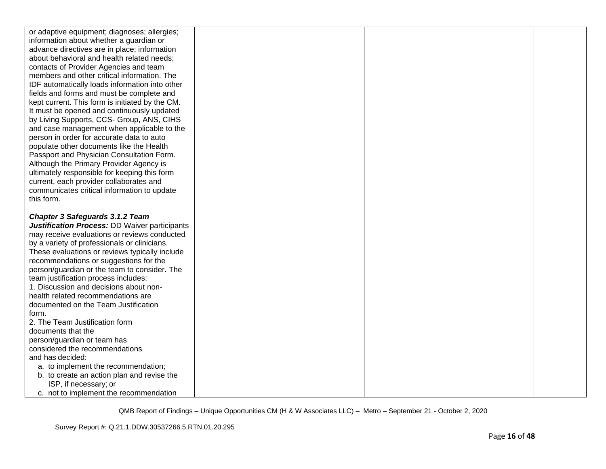| or adaptive equipment; diagnoses; allergies;                                         |  |  |
|--------------------------------------------------------------------------------------|--|--|
| information about whether a guardian or                                              |  |  |
| advance directives are in place; information                                         |  |  |
| about behavioral and health related needs;                                           |  |  |
| contacts of Provider Agencies and team                                               |  |  |
| members and other critical information. The                                          |  |  |
| IDF automatically loads information into other                                       |  |  |
| fields and forms and must be complete and                                            |  |  |
| kept current. This form is initiated by the CM.                                      |  |  |
| It must be opened and continuously updated                                           |  |  |
| by Living Supports, CCS- Group, ANS, CIHS                                            |  |  |
| and case management when applicable to the                                           |  |  |
| person in order for accurate data to auto                                            |  |  |
| populate other documents like the Health                                             |  |  |
| Passport and Physician Consultation Form.                                            |  |  |
| Although the Primary Provider Agency is                                              |  |  |
| ultimately responsible for keeping this form                                         |  |  |
| current, each provider collaborates and                                              |  |  |
| communicates critical information to update                                          |  |  |
| this form.                                                                           |  |  |
|                                                                                      |  |  |
|                                                                                      |  |  |
|                                                                                      |  |  |
| <b>Chapter 3 Safeguards 3.1.2 Team</b>                                               |  |  |
| Justification Process: DD Waiver participants                                        |  |  |
| may receive evaluations or reviews conducted                                         |  |  |
| by a variety of professionals or clinicians.                                         |  |  |
| These evaluations or reviews typically include                                       |  |  |
| recommendations or suggestions for the                                               |  |  |
| person/guardian or the team to consider. The<br>team justification process includes: |  |  |
| 1. Discussion and decisions about non-                                               |  |  |
| health related recommendations are                                                   |  |  |
| documented on the Team Justification                                                 |  |  |
| form.                                                                                |  |  |
| 2. The Team Justification form                                                       |  |  |
| documents that the                                                                   |  |  |
| person/guardian or team has                                                          |  |  |
| considered the recommendations                                                       |  |  |
| and has decided:                                                                     |  |  |
| a. to implement the recommendation;                                                  |  |  |
| b. to create an action plan and revise the                                           |  |  |
| ISP, if necessary; or                                                                |  |  |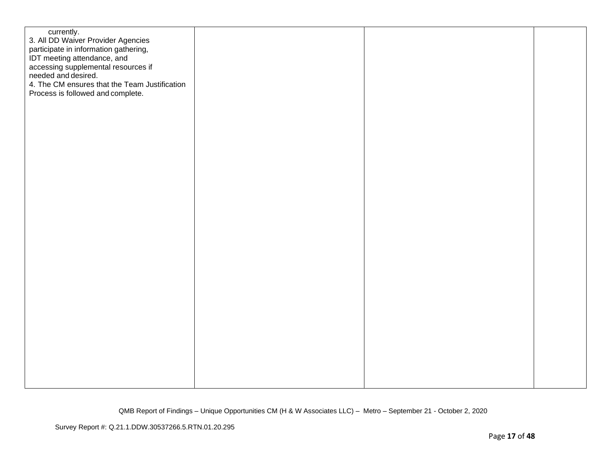| currently.<br>3. All DD Waiver Provider Agencies<br>participate in information gathering,<br>IDT meeting attendance, and<br>accessing supplemental resources if<br>needed and desired.<br>4. The CM ensures that the Team Justification<br>Process is followed and complete. |  |  |
|------------------------------------------------------------------------------------------------------------------------------------------------------------------------------------------------------------------------------------------------------------------------------|--|--|
|                                                                                                                                                                                                                                                                              |  |  |
|                                                                                                                                                                                                                                                                              |  |  |
|                                                                                                                                                                                                                                                                              |  |  |
|                                                                                                                                                                                                                                                                              |  |  |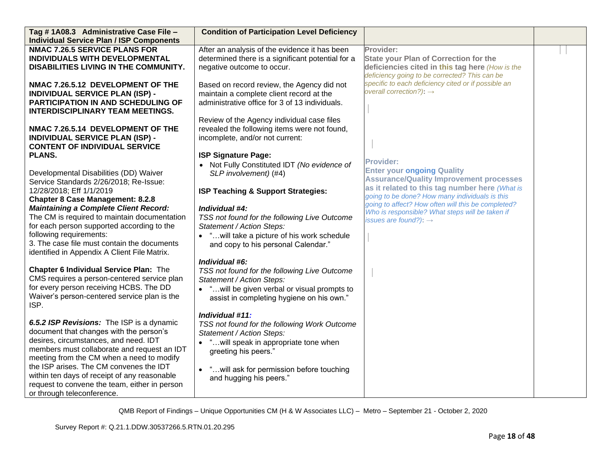| Tag #1A08.3 Administrative Case File -<br><b>Individual Service Plan / ISP Components</b>                                                                                                                                                                                                                                                                                                                                                                                                                                                                                  | <b>Condition of Participation Level Deficiency</b>                                                                                                                                                                                                                                                                                                                                                                                                                     |                                                                                                                                                                                                                                                                                                                                                           |  |
|----------------------------------------------------------------------------------------------------------------------------------------------------------------------------------------------------------------------------------------------------------------------------------------------------------------------------------------------------------------------------------------------------------------------------------------------------------------------------------------------------------------------------------------------------------------------------|------------------------------------------------------------------------------------------------------------------------------------------------------------------------------------------------------------------------------------------------------------------------------------------------------------------------------------------------------------------------------------------------------------------------------------------------------------------------|-----------------------------------------------------------------------------------------------------------------------------------------------------------------------------------------------------------------------------------------------------------------------------------------------------------------------------------------------------------|--|
| <b>NMAC 7.26.5 SERVICE PLANS FOR</b><br>INDIVIDUALS WITH DEVELOPMENTAL<br>DISABILITIES LIVING IN THE COMMUNITY.                                                                                                                                                                                                                                                                                                                                                                                                                                                            | After an analysis of the evidence it has been<br>determined there is a significant potential for a<br>negative outcome to occur.                                                                                                                                                                                                                                                                                                                                       | Provider:<br><b>State your Plan of Correction for the</b><br>deficiencies cited in this tag here (How is the<br>deficiency going to be corrected? This can be                                                                                                                                                                                             |  |
| NMAC 7.26.5.12 DEVELOPMENT OF THE<br><b>INDIVIDUAL SERVICE PLAN (ISP) -</b><br>PARTICIPATION IN AND SCHEDULING OF<br><b>INTERDISCIPLINARY TEAM MEETINGS.</b>                                                                                                                                                                                                                                                                                                                                                                                                               | Based on record review, the Agency did not<br>maintain a complete client record at the<br>administrative office for 3 of 13 individuals.                                                                                                                                                                                                                                                                                                                               | specific to each deficiency cited or if possible an<br>overall correction?): $\rightarrow$                                                                                                                                                                                                                                                                |  |
| NMAC 7.26.5.14 DEVELOPMENT OF THE<br><b>INDIVIDUAL SERVICE PLAN (ISP) -</b><br><b>CONTENT OF INDIVIDUAL SERVICE</b><br>PLANS.                                                                                                                                                                                                                                                                                                                                                                                                                                              | Review of the Agency individual case files<br>revealed the following items were not found,<br>incomplete, and/or not current:<br><b>ISP Signature Page:</b>                                                                                                                                                                                                                                                                                                            |                                                                                                                                                                                                                                                                                                                                                           |  |
| Developmental Disabilities (DD) Waiver<br>Service Standards 2/26/2018; Re-Issue:<br>12/28/2018; Eff 1/1/2019<br><b>Chapter 8 Case Management: 8.2.8</b><br><b>Maintaining a Complete Client Record:</b><br>The CM is required to maintain documentation<br>for each person supported according to the<br>following requirements:<br>3. The case file must contain the documents<br>identified in Appendix A Client File Matrix.<br><b>Chapter 6 Individual Service Plan: The</b><br>CMS requires a person-centered service plan<br>for every person receiving HCBS. The DD | Not Fully Constituted IDT (No evidence of<br>$\bullet$<br>SLP involvement) (#4)<br><b>ISP Teaching &amp; Support Strategies:</b><br>Individual #4:<br>TSS not found for the following Live Outcome<br>Statement / Action Steps:<br>• " will take a picture of his work schedule<br>and copy to his personal Calendar."<br>Individual #6:<br>TSS not found for the following Live Outcome<br>Statement / Action Steps:<br>• " will be given verbal or visual prompts to | <b>Provider:</b><br><b>Enter your ongoing Quality</b><br><b>Assurance/Quality Improvement processes</b><br>as it related to this tag number here (What is<br>going to be done? How many individuals is this<br>going to affect? How often will this be completed?<br>Who is responsible? What steps will be taken if<br>issues are found?): $\rightarrow$ |  |
| Waiver's person-centered service plan is the<br>ISP.<br>6.5.2 ISP Revisions: The ISP is a dynamic<br>document that changes with the person's<br>desires, circumstances, and need. IDT<br>members must collaborate and request an IDT<br>meeting from the CM when a need to modify<br>the ISP arises. The CM convenes the IDT<br>within ten days of receipt of any reasonable<br>request to convene the team, either in person<br>or through teleconference.                                                                                                                | assist in completing hygiene on his own."<br>Individual #11:<br>TSS not found for the following Work Outcome<br>Statement / Action Steps:<br>"will speak in appropriate tone when<br>$\bullet$<br>greeting his peers."<br>" will ask for permission before touching<br>$\bullet$<br>and hugging his peers."                                                                                                                                                            |                                                                                                                                                                                                                                                                                                                                                           |  |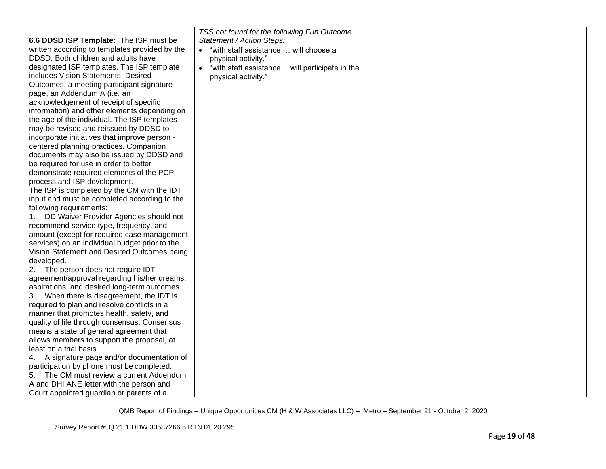|                                                | TSS not found for the following Fun Outcome       |  |
|------------------------------------------------|---------------------------------------------------|--|
| 6.6 DDSD ISP Template: The ISP must be         | Statement / Action Steps:                         |  |
| written according to templates provided by the | "with staff assistance  will choose a             |  |
| DDSD. Both children and adults have            | physical activity."                               |  |
| designated ISP templates. The ISP template     | • "with staff assistance  will participate in the |  |
| includes Vision Statements, Desired            | physical activity."                               |  |
| Outcomes, a meeting participant signature      |                                                   |  |
| page, an Addendum A (i.e. an                   |                                                   |  |
| acknowledgement of receipt of specific         |                                                   |  |
| information) and other elements depending on   |                                                   |  |
| the age of the individual. The ISP templates   |                                                   |  |
| may be revised and reissued by DDSD to         |                                                   |  |
| incorporate initiatives that improve person -  |                                                   |  |
| centered planning practices. Companion         |                                                   |  |
| documents may also be issued by DDSD and       |                                                   |  |
| be required for use in order to better         |                                                   |  |
| demonstrate required elements of the PCP       |                                                   |  |
| process and ISP development.                   |                                                   |  |
| The ISP is completed by the CM with the IDT    |                                                   |  |
| input and must be completed according to the   |                                                   |  |
| following requirements:                        |                                                   |  |
| DD Waiver Provider Agencies should not         |                                                   |  |
| recommend service type, frequency, and         |                                                   |  |
| amount (except for required case management    |                                                   |  |
| services) on an individual budget prior to the |                                                   |  |
| Vision Statement and Desired Outcomes being    |                                                   |  |
| developed.                                     |                                                   |  |
| 2. The person does not require IDT             |                                                   |  |
| agreement/approval regarding his/her dreams,   |                                                   |  |
| aspirations, and desired long-term outcomes.   |                                                   |  |
| 3. When there is disagreement, the IDT is      |                                                   |  |
| required to plan and resolve conflicts in a    |                                                   |  |
| manner that promotes health, safety, and       |                                                   |  |
| quality of life through consensus. Consensus   |                                                   |  |
| means a state of general agreement that        |                                                   |  |
| allows members to support the proposal, at     |                                                   |  |
| least on a trial basis.                        |                                                   |  |
| 4. A signature page and/or documentation of    |                                                   |  |
| participation by phone must be completed.      |                                                   |  |
| 5. The CM must review a current Addendum       |                                                   |  |
| A and DHI ANE letter with the person and       |                                                   |  |
| Court appointed guardian or parents of a       |                                                   |  |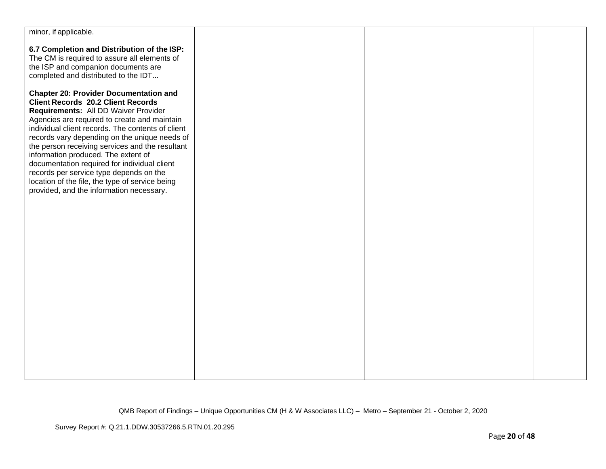| minor, if applicable.                                                                                                                                                                                                                                                                                                                                                                                                                                                                                                                                                        |  |  |
|------------------------------------------------------------------------------------------------------------------------------------------------------------------------------------------------------------------------------------------------------------------------------------------------------------------------------------------------------------------------------------------------------------------------------------------------------------------------------------------------------------------------------------------------------------------------------|--|--|
| 6.7 Completion and Distribution of the ISP:<br>The CM is required to assure all elements of<br>the ISP and companion documents are                                                                                                                                                                                                                                                                                                                                                                                                                                           |  |  |
| completed and distributed to the IDT                                                                                                                                                                                                                                                                                                                                                                                                                                                                                                                                         |  |  |
| <b>Chapter 20: Provider Documentation and</b><br><b>Client Records 20.2 Client Records</b><br>Requirements: All DD Waiver Provider<br>Agencies are required to create and maintain<br>individual client records. The contents of client<br>records vary depending on the unique needs of<br>the person receiving services and the resultant<br>information produced. The extent of<br>documentation required for individual client<br>records per service type depends on the<br>location of the file, the type of service being<br>provided, and the information necessary. |  |  |
|                                                                                                                                                                                                                                                                                                                                                                                                                                                                                                                                                                              |  |  |
|                                                                                                                                                                                                                                                                                                                                                                                                                                                                                                                                                                              |  |  |
|                                                                                                                                                                                                                                                                                                                                                                                                                                                                                                                                                                              |  |  |
|                                                                                                                                                                                                                                                                                                                                                                                                                                                                                                                                                                              |  |  |
|                                                                                                                                                                                                                                                                                                                                                                                                                                                                                                                                                                              |  |  |
|                                                                                                                                                                                                                                                                                                                                                                                                                                                                                                                                                                              |  |  |
|                                                                                                                                                                                                                                                                                                                                                                                                                                                                                                                                                                              |  |  |
|                                                                                                                                                                                                                                                                                                                                                                                                                                                                                                                                                                              |  |  |
|                                                                                                                                                                                                                                                                                                                                                                                                                                                                                                                                                                              |  |  |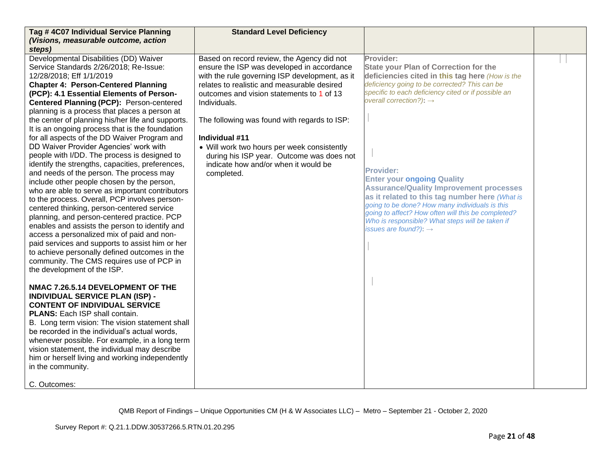| Tag #4C07 Individual Service Planning                                                                                                                                                                                                                                                                                                                                                                                                                                                                                                                                                                                                                                                                                                                                                                                                                                                                                                                                                                                                                                                                                                                                                                                                                                                                                                                                                                                                                                                                                                                                                                                        | <b>Standard Level Deficiency</b>                                                                                                                                                                                                                                                                                                                                                                                                                                           |                                                                                                                                                                                                                                                                                                                                                                                                                                                                                                                                                                                                                          |  |
|------------------------------------------------------------------------------------------------------------------------------------------------------------------------------------------------------------------------------------------------------------------------------------------------------------------------------------------------------------------------------------------------------------------------------------------------------------------------------------------------------------------------------------------------------------------------------------------------------------------------------------------------------------------------------------------------------------------------------------------------------------------------------------------------------------------------------------------------------------------------------------------------------------------------------------------------------------------------------------------------------------------------------------------------------------------------------------------------------------------------------------------------------------------------------------------------------------------------------------------------------------------------------------------------------------------------------------------------------------------------------------------------------------------------------------------------------------------------------------------------------------------------------------------------------------------------------------------------------------------------------|----------------------------------------------------------------------------------------------------------------------------------------------------------------------------------------------------------------------------------------------------------------------------------------------------------------------------------------------------------------------------------------------------------------------------------------------------------------------------|--------------------------------------------------------------------------------------------------------------------------------------------------------------------------------------------------------------------------------------------------------------------------------------------------------------------------------------------------------------------------------------------------------------------------------------------------------------------------------------------------------------------------------------------------------------------------------------------------------------------------|--|
| (Visions, measurable outcome, action                                                                                                                                                                                                                                                                                                                                                                                                                                                                                                                                                                                                                                                                                                                                                                                                                                                                                                                                                                                                                                                                                                                                                                                                                                                                                                                                                                                                                                                                                                                                                                                         |                                                                                                                                                                                                                                                                                                                                                                                                                                                                            |                                                                                                                                                                                                                                                                                                                                                                                                                                                                                                                                                                                                                          |  |
| steps)                                                                                                                                                                                                                                                                                                                                                                                                                                                                                                                                                                                                                                                                                                                                                                                                                                                                                                                                                                                                                                                                                                                                                                                                                                                                                                                                                                                                                                                                                                                                                                                                                       |                                                                                                                                                                                                                                                                                                                                                                                                                                                                            |                                                                                                                                                                                                                                                                                                                                                                                                                                                                                                                                                                                                                          |  |
| Developmental Disabilities (DD) Waiver<br>Service Standards 2/26/2018; Re-Issue:<br>12/28/2018; Eff 1/1/2019<br><b>Chapter 4: Person-Centered Planning</b><br>(PCP): 4.1 Essential Elements of Person-<br>Centered Planning (PCP): Person-centered<br>planning is a process that places a person at<br>the center of planning his/her life and supports.<br>It is an ongoing process that is the foundation<br>for all aspects of the DD Waiver Program and<br>DD Waiver Provider Agencies' work with<br>people with I/DD. The process is designed to<br>identify the strengths, capacities, preferences,<br>and needs of the person. The process may<br>include other people chosen by the person,<br>who are able to serve as important contributors<br>to the process. Overall, PCP involves person-<br>centered thinking, person-centered service<br>planning, and person-centered practice. PCP<br>enables and assists the person to identify and<br>access a personalized mix of paid and non-<br>paid services and supports to assist him or her<br>to achieve personally defined outcomes in the<br>community. The CMS requires use of PCP in<br>the development of the ISP.<br>NMAC 7.26.5.14 DEVELOPMENT OF THE<br><b>INDIVIDUAL SERVICE PLAN (ISP) -</b><br><b>CONTENT OF INDIVIDUAL SERVICE</b><br>PLANS: Each ISP shall contain.<br>B. Long term vision: The vision statement shall<br>be recorded in the individual's actual words,<br>whenever possible. For example, in a long term<br>vision statement, the individual may describe<br>him or herself living and working independently<br>in the community. | Based on record review, the Agency did not<br>ensure the ISP was developed in accordance<br>with the rule governing ISP development, as it<br>relates to realistic and measurable desired<br>outcomes and vision statements to 1 of 13<br>Individuals.<br>The following was found with regards to ISP:<br>Individual #11<br>• Will work two hours per week consistently<br>during his ISP year. Outcome was does not<br>indicate how and/or when it would be<br>completed. | Provider:<br><b>State your Plan of Correction for the</b><br>deficiencies cited in this tag here (How is the<br>deficiency going to be corrected? This can be<br>specific to each deficiency cited or if possible an<br>overall correction?): $\rightarrow$<br><b>Provider:</b><br><b>Enter your ongoing Quality</b><br><b>Assurance/Quality Improvement processes</b><br>as it related to this tag number here (What is<br>going to be done? How many individuals is this<br>going to affect? How often will this be completed?<br>Who is responsible? What steps will be taken if<br>issues are found?): $\rightarrow$ |  |
| C. Outcomes:                                                                                                                                                                                                                                                                                                                                                                                                                                                                                                                                                                                                                                                                                                                                                                                                                                                                                                                                                                                                                                                                                                                                                                                                                                                                                                                                                                                                                                                                                                                                                                                                                 |                                                                                                                                                                                                                                                                                                                                                                                                                                                                            |                                                                                                                                                                                                                                                                                                                                                                                                                                                                                                                                                                                                                          |  |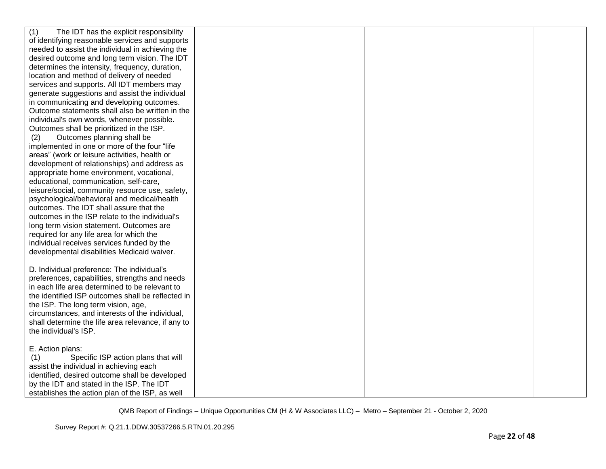| (1)<br>The IDT has the explicit responsibility                                         |  |  |
|----------------------------------------------------------------------------------------|--|--|
| of identifying reasonable services and supports                                        |  |  |
| needed to assist the individual in achieving the                                       |  |  |
| desired outcome and long term vision. The IDT                                          |  |  |
| determines the intensity, frequency, duration,                                         |  |  |
| location and method of delivery of needed                                              |  |  |
| services and supports. All IDT members may                                             |  |  |
| generate suggestions and assist the individual                                         |  |  |
| in communicating and developing outcomes.                                              |  |  |
| Outcome statements shall also be written in the                                        |  |  |
| individual's own words, whenever possible.                                             |  |  |
| Outcomes shall be prioritized in the ISP.                                              |  |  |
| Outcomes planning shall be<br>(2)                                                      |  |  |
| implemented in one or more of the four "life                                           |  |  |
| areas" (work or leisure activities, health or                                          |  |  |
| development of relationships) and address as                                           |  |  |
| appropriate home environment, vocational,                                              |  |  |
| educational, communication, self-care,                                                 |  |  |
| leisure/social, community resource use, safety,                                        |  |  |
| psychological/behavioral and medical/health                                            |  |  |
| outcomes. The IDT shall assure that the                                                |  |  |
| outcomes in the ISP relate to the individual's                                         |  |  |
| long term vision statement. Outcomes are                                               |  |  |
| required for any life area for which the                                               |  |  |
| individual receives services funded by the                                             |  |  |
| developmental disabilities Medicaid waiver.                                            |  |  |
|                                                                                        |  |  |
| D. Individual preference: The individual's                                             |  |  |
| preferences, capabilities, strengths and needs                                         |  |  |
| in each life area determined to be relevant to                                         |  |  |
| the identified ISP outcomes shall be reflected in                                      |  |  |
| the ISP. The long term vision, age,<br>circumstances, and interests of the individual, |  |  |
| shall determine the life area relevance, if any to                                     |  |  |
| the individual's ISP.                                                                  |  |  |
|                                                                                        |  |  |
| E. Action plans:                                                                       |  |  |
| Specific ISP action plans that will<br>(1)                                             |  |  |
| assist the individual in achieving each                                                |  |  |
| identified, desired outcome shall be developed                                         |  |  |
| by the IDT and stated in the ISP. The IDT                                              |  |  |
| establishes the action plan of the ISP, as well                                        |  |  |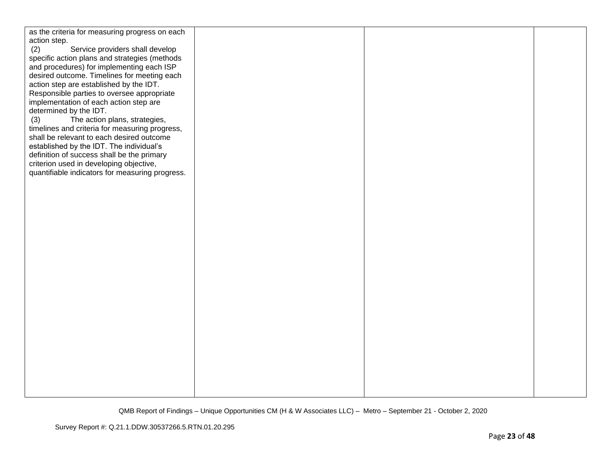| as the criteria for measuring progress on each  |  |  |
|-------------------------------------------------|--|--|
| action step.                                    |  |  |
| Service providers shall develop<br>(2)          |  |  |
|                                                 |  |  |
| specific action plans and strategies (methods   |  |  |
| and procedures) for implementing each ISP       |  |  |
| desired outcome. Timelines for meeting each     |  |  |
|                                                 |  |  |
| action step are established by the IDT.         |  |  |
| Responsible parties to oversee appropriate      |  |  |
| implementation of each action step are          |  |  |
| determined by the IDT.                          |  |  |
|                                                 |  |  |
| The action plans, strategies,<br>(3)            |  |  |
| timelines and criteria for measuring progress,  |  |  |
| shall be relevant to each desired outcome       |  |  |
|                                                 |  |  |
| established by the IDT. The individual's        |  |  |
| definition of success shall be the primary      |  |  |
| criterion used in developing objective,         |  |  |
| quantifiable indicators for measuring progress. |  |  |
|                                                 |  |  |
|                                                 |  |  |
|                                                 |  |  |
|                                                 |  |  |
|                                                 |  |  |
|                                                 |  |  |
|                                                 |  |  |
|                                                 |  |  |
|                                                 |  |  |
|                                                 |  |  |
|                                                 |  |  |
|                                                 |  |  |
|                                                 |  |  |
|                                                 |  |  |
|                                                 |  |  |
|                                                 |  |  |
|                                                 |  |  |
|                                                 |  |  |
|                                                 |  |  |
|                                                 |  |  |
|                                                 |  |  |
|                                                 |  |  |
|                                                 |  |  |
|                                                 |  |  |
|                                                 |  |  |
|                                                 |  |  |
|                                                 |  |  |
|                                                 |  |  |
|                                                 |  |  |
|                                                 |  |  |
|                                                 |  |  |
|                                                 |  |  |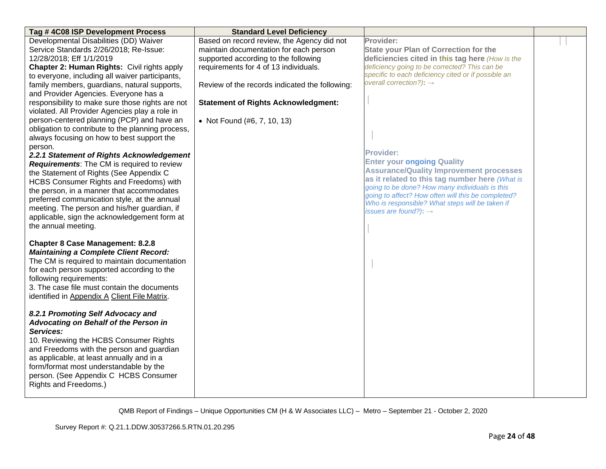| Tag #4C08 ISP Development Process                                                       | <b>Standard Level Deficiency</b>               |                                                                                            |  |
|-----------------------------------------------------------------------------------------|------------------------------------------------|--------------------------------------------------------------------------------------------|--|
| Developmental Disabilities (DD) Waiver                                                  | Based on record review, the Agency did not     | Provider:                                                                                  |  |
| Service Standards 2/26/2018; Re-Issue:                                                  | maintain documentation for each person         | <b>State your Plan of Correction for the</b>                                               |  |
| 12/28/2018; Eff 1/1/2019                                                                | supported according to the following           | deficiencies cited in this tag here (How is the                                            |  |
| Chapter 2: Human Rights: Civil rights apply                                             | requirements for 4 of 13 individuals.          | deficiency going to be corrected? This can be                                              |  |
| to everyone, including all waiver participants,                                         |                                                | specific to each deficiency cited or if possible an<br>overall correction?): $\rightarrow$ |  |
| family members, guardians, natural supports,                                            | Review of the records indicated the following: |                                                                                            |  |
| and Provider Agencies. Everyone has a                                                   |                                                |                                                                                            |  |
| responsibility to make sure those rights are not                                        | <b>Statement of Rights Acknowledgment:</b>     |                                                                                            |  |
| violated. All Provider Agencies play a role in                                          |                                                |                                                                                            |  |
| person-centered planning (PCP) and have an                                              | • Not Found (#6, 7, 10, 13)                    |                                                                                            |  |
| obligation to contribute to the planning process,                                       |                                                |                                                                                            |  |
| always focusing on how to best support the                                              |                                                |                                                                                            |  |
| person.                                                                                 |                                                | <b>Provider:</b>                                                                           |  |
| 2.2.1 Statement of Rights Acknowledgement<br>Requirements: The CM is required to review |                                                | <b>Enter your ongoing Quality</b>                                                          |  |
| the Statement of Rights (See Appendix C                                                 |                                                | <b>Assurance/Quality Improvement processes</b>                                             |  |
| HCBS Consumer Rights and Freedoms) with                                                 |                                                | as it related to this tag number here (What is                                             |  |
| the person, in a manner that accommodates                                               |                                                | going to be done? How many individuals is this                                             |  |
| preferred communication style, at the annual                                            |                                                | going to affect? How often will this be completed?                                         |  |
| meeting. The person and his/her guardian, if                                            |                                                | Who is responsible? What steps will be taken if                                            |  |
| applicable, sign the acknowledgement form at                                            |                                                | issues are found?): $\rightarrow$                                                          |  |
| the annual meeting.                                                                     |                                                |                                                                                            |  |
|                                                                                         |                                                |                                                                                            |  |
| <b>Chapter 8 Case Management: 8.2.8</b>                                                 |                                                |                                                                                            |  |
| <b>Maintaining a Complete Client Record:</b>                                            |                                                |                                                                                            |  |
| The CM is required to maintain documentation                                            |                                                |                                                                                            |  |
| for each person supported according to the                                              |                                                |                                                                                            |  |
| following requirements:                                                                 |                                                |                                                                                            |  |
| 3. The case file must contain the documents                                             |                                                |                                                                                            |  |
| identified in Appendix A Client File Matrix.                                            |                                                |                                                                                            |  |
|                                                                                         |                                                |                                                                                            |  |
| 8.2.1 Promoting Self Advocacy and                                                       |                                                |                                                                                            |  |
| Advocating on Behalf of the Person in                                                   |                                                |                                                                                            |  |
| Services:                                                                               |                                                |                                                                                            |  |
| 10. Reviewing the HCBS Consumer Rights                                                  |                                                |                                                                                            |  |
| and Freedoms with the person and guardian<br>as applicable, at least annually and in a  |                                                |                                                                                            |  |
| form/format most understandable by the                                                  |                                                |                                                                                            |  |
| person. (See Appendix C HCBS Consumer                                                   |                                                |                                                                                            |  |
| Rights and Freedoms.)                                                                   |                                                |                                                                                            |  |
|                                                                                         |                                                |                                                                                            |  |
|                                                                                         |                                                |                                                                                            |  |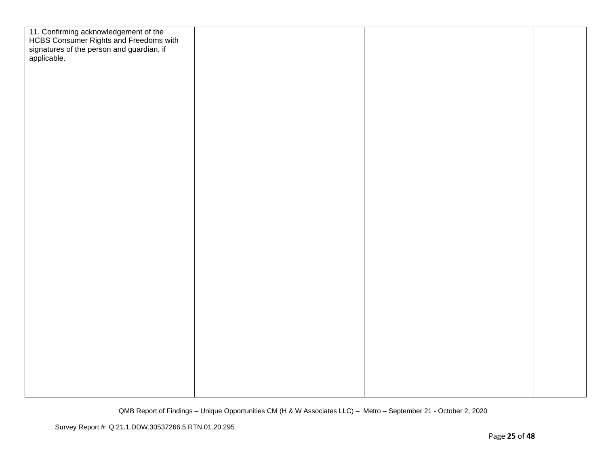| 11. Confirming acknowledgement of the<br>HCBS Consumer Rights and Freedoms with<br>signatures of the person and guardian, if |  |  |
|------------------------------------------------------------------------------------------------------------------------------|--|--|
|                                                                                                                              |  |  |
| applicable.                                                                                                                  |  |  |
|                                                                                                                              |  |  |
|                                                                                                                              |  |  |
|                                                                                                                              |  |  |
|                                                                                                                              |  |  |
|                                                                                                                              |  |  |
|                                                                                                                              |  |  |
|                                                                                                                              |  |  |
|                                                                                                                              |  |  |
|                                                                                                                              |  |  |
|                                                                                                                              |  |  |
|                                                                                                                              |  |  |
|                                                                                                                              |  |  |
|                                                                                                                              |  |  |
|                                                                                                                              |  |  |
|                                                                                                                              |  |  |
|                                                                                                                              |  |  |
|                                                                                                                              |  |  |
|                                                                                                                              |  |  |
|                                                                                                                              |  |  |
|                                                                                                                              |  |  |
|                                                                                                                              |  |  |
|                                                                                                                              |  |  |
|                                                                                                                              |  |  |
|                                                                                                                              |  |  |
|                                                                                                                              |  |  |
|                                                                                                                              |  |  |
|                                                                                                                              |  |  |
|                                                                                                                              |  |  |
|                                                                                                                              |  |  |
|                                                                                                                              |  |  |
|                                                                                                                              |  |  |
|                                                                                                                              |  |  |
|                                                                                                                              |  |  |
|                                                                                                                              |  |  |
|                                                                                                                              |  |  |
|                                                                                                                              |  |  |
|                                                                                                                              |  |  |
|                                                                                                                              |  |  |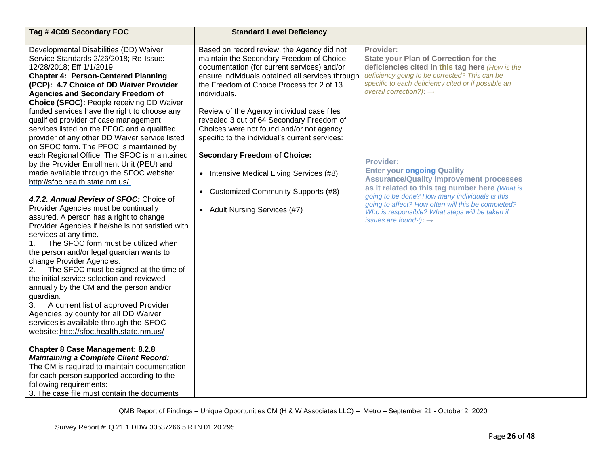| Tag #4C09 Secondary FOC                                                                                                                                                                                                                                                                                                                                                                                                                                                                                                                                                                                                                                                                                                                                                                                                                                                                                                                                                                                                                                                                                                                                                                                                                                                                                                                                                                                                                                                                                                                                                                                                                                   | <b>Standard Level Deficiency</b>                                                                                                                                                                                                                                                                                                                                                                                                                                                                                                                                                                                                         |                                                                                                                                                                                                                                                                                                                                                                                                                                                                                                                                                                                                                          |  |
|-----------------------------------------------------------------------------------------------------------------------------------------------------------------------------------------------------------------------------------------------------------------------------------------------------------------------------------------------------------------------------------------------------------------------------------------------------------------------------------------------------------------------------------------------------------------------------------------------------------------------------------------------------------------------------------------------------------------------------------------------------------------------------------------------------------------------------------------------------------------------------------------------------------------------------------------------------------------------------------------------------------------------------------------------------------------------------------------------------------------------------------------------------------------------------------------------------------------------------------------------------------------------------------------------------------------------------------------------------------------------------------------------------------------------------------------------------------------------------------------------------------------------------------------------------------------------------------------------------------------------------------------------------------|------------------------------------------------------------------------------------------------------------------------------------------------------------------------------------------------------------------------------------------------------------------------------------------------------------------------------------------------------------------------------------------------------------------------------------------------------------------------------------------------------------------------------------------------------------------------------------------------------------------------------------------|--------------------------------------------------------------------------------------------------------------------------------------------------------------------------------------------------------------------------------------------------------------------------------------------------------------------------------------------------------------------------------------------------------------------------------------------------------------------------------------------------------------------------------------------------------------------------------------------------------------------------|--|
| Developmental Disabilities (DD) Waiver<br>Service Standards 2/26/2018; Re-Issue:<br>12/28/2018; Eff 1/1/2019<br><b>Chapter 4: Person-Centered Planning</b><br>(PCP): 4.7 Choice of DD Waiver Provider<br><b>Agencies and Secondary Freedom of</b><br>Choice (SFOC): People receiving DD Waiver<br>funded services have the right to choose any<br>qualified provider of case management<br>services listed on the PFOC and a qualified<br>provider of any other DD Waiver service listed<br>on SFOC form. The PFOC is maintained by<br>each Regional Office. The SFOC is maintained<br>by the Provider Enrollment Unit (PEU) and<br>made available through the SFOC website:<br>http://sfoc.health.state.nm.us/.<br>4.7.2. Annual Review of SFOC: Choice of<br>Provider Agencies must be continually<br>assured. A person has a right to change<br>Provider Agencies if he/she is not satisfied with<br>services at any time.<br>The SFOC form must be utilized when<br>1.<br>the person and/or legal guardian wants to<br>change Provider Agencies.<br>The SFOC must be signed at the time of<br>2.<br>the initial service selection and reviewed<br>annually by the CM and the person and/or<br>guardian.<br>A current list of approved Provider<br>3.<br>Agencies by county for all DD Waiver<br>services is available through the SFOC<br>website: http://sfoc.health.state.nm.us/<br><b>Chapter 8 Case Management: 8.2.8</b><br><b>Maintaining a Complete Client Record:</b><br>The CM is required to maintain documentation<br>for each person supported according to the<br>following requirements:<br>3. The case file must contain the documents | Based on record review, the Agency did not<br>maintain the Secondary Freedom of Choice<br>documentation (for current services) and/or<br>ensure individuals obtained all services through<br>the Freedom of Choice Process for 2 of 13<br>individuals.<br>Review of the Agency individual case files<br>revealed 3 out of 64 Secondary Freedom of<br>Choices were not found and/or not agency<br>specific to the individual's current services:<br><b>Secondary Freedom of Choice:</b><br>Intensive Medical Living Services (#8)<br>$\bullet$<br><b>Customized Community Supports (#8)</b><br>$\bullet$<br>• Adult Nursing Services (#7) | Provider:<br><b>State your Plan of Correction for the</b><br>deficiencies cited in this tag here (How is the<br>deficiency going to be corrected? This can be<br>specific to each deficiency cited or if possible an<br>overall correction?): $\rightarrow$<br><b>Provider:</b><br><b>Enter your ongoing Quality</b><br><b>Assurance/Quality Improvement processes</b><br>as it related to this tag number here (What is<br>going to be done? How many individuals is this<br>going to affect? How often will this be completed?<br>Who is responsible? What steps will be taken if<br>issues are found?): $\rightarrow$ |  |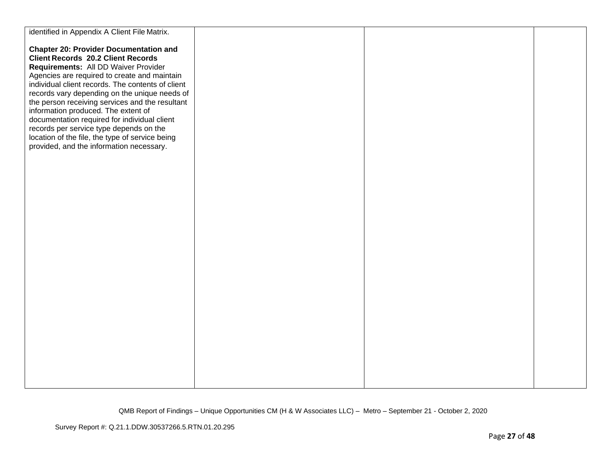| identified in Appendix A Client File Matrix.      |  |  |
|---------------------------------------------------|--|--|
|                                                   |  |  |
| <b>Chapter 20: Provider Documentation and</b>     |  |  |
| <b>Client Records 20.2 Client Records</b>         |  |  |
| Requirements: All DD Waiver Provider              |  |  |
| Agencies are required to create and maintain      |  |  |
| individual client records. The contents of client |  |  |
| records vary depending on the unique needs of     |  |  |
| the person receiving services and the resultant   |  |  |
| information produced. The extent of               |  |  |
| documentation required for individual client      |  |  |
| records per service type depends on the           |  |  |
| location of the file, the type of service being   |  |  |
| provided, and the information necessary.          |  |  |
|                                                   |  |  |
|                                                   |  |  |
|                                                   |  |  |
|                                                   |  |  |
|                                                   |  |  |
|                                                   |  |  |
|                                                   |  |  |
|                                                   |  |  |
|                                                   |  |  |
|                                                   |  |  |
|                                                   |  |  |
|                                                   |  |  |
|                                                   |  |  |
|                                                   |  |  |
|                                                   |  |  |
|                                                   |  |  |
|                                                   |  |  |
|                                                   |  |  |
|                                                   |  |  |
|                                                   |  |  |
|                                                   |  |  |
|                                                   |  |  |
|                                                   |  |  |
|                                                   |  |  |
|                                                   |  |  |
|                                                   |  |  |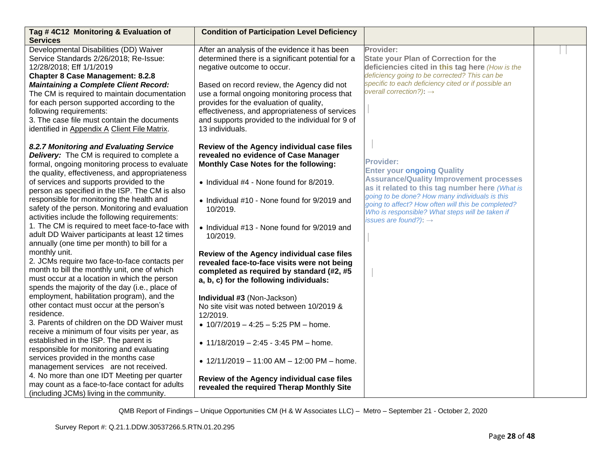| Tag #4C12 Monitoring & Evaluation of<br><b>Services</b>                                                                                                                                                                                                                                                                                                                                                                                                                                                                                                                                                                                                                                                                                                                                                                                                                                                                                                                                                                                                                                                                                                                                                                                                                                                                                                 | <b>Condition of Participation Level Deficiency</b>                                                                                                                                                                                                                                                                                                                                                                                                                                                                                                                                                                                                                                                                                                                                                                            |                                                                                                                                                                                                                                                                                                                                                           |  |
|---------------------------------------------------------------------------------------------------------------------------------------------------------------------------------------------------------------------------------------------------------------------------------------------------------------------------------------------------------------------------------------------------------------------------------------------------------------------------------------------------------------------------------------------------------------------------------------------------------------------------------------------------------------------------------------------------------------------------------------------------------------------------------------------------------------------------------------------------------------------------------------------------------------------------------------------------------------------------------------------------------------------------------------------------------------------------------------------------------------------------------------------------------------------------------------------------------------------------------------------------------------------------------------------------------------------------------------------------------|-------------------------------------------------------------------------------------------------------------------------------------------------------------------------------------------------------------------------------------------------------------------------------------------------------------------------------------------------------------------------------------------------------------------------------------------------------------------------------------------------------------------------------------------------------------------------------------------------------------------------------------------------------------------------------------------------------------------------------------------------------------------------------------------------------------------------------|-----------------------------------------------------------------------------------------------------------------------------------------------------------------------------------------------------------------------------------------------------------------------------------------------------------------------------------------------------------|--|
| Developmental Disabilities (DD) Waiver<br>Service Standards 2/26/2018; Re-Issue:<br>12/28/2018; Eff 1/1/2019<br><b>Chapter 8 Case Management: 8.2.8</b><br><b>Maintaining a Complete Client Record:</b><br>The CM is required to maintain documentation<br>for each person supported according to the<br>following requirements:<br>3. The case file must contain the documents<br>identified in Appendix A Client File Matrix.                                                                                                                                                                                                                                                                                                                                                                                                                                                                                                                                                                                                                                                                                                                                                                                                                                                                                                                         | After an analysis of the evidence it has been<br>determined there is a significant potential for a<br>negative outcome to occur.<br>Based on record review, the Agency did not<br>use a formal ongoing monitoring process that<br>provides for the evaluation of quality,<br>effectiveness, and appropriateness of services<br>and supports provided to the individual for 9 of<br>13 individuals.                                                                                                                                                                                                                                                                                                                                                                                                                            | Provider:<br><b>State your Plan of Correction for the</b><br>deficiencies cited in this tag here (How is the<br>deficiency going to be corrected? This can be<br>specific to each deficiency cited or if possible an<br>overall correction?): $\rightarrow$                                                                                               |  |
| 8.2.7 Monitoring and Evaluating Service<br><b>Delivery:</b> The CM is required to complete a<br>formal, ongoing monitoring process to evaluate<br>the quality, effectiveness, and appropriateness<br>of services and supports provided to the<br>person as specified in the ISP. The CM is also<br>responsible for monitoring the health and<br>safety of the person. Monitoring and evaluation<br>activities include the following requirements:<br>1. The CM is required to meet face-to-face with<br>adult DD Waiver participants at least 12 times<br>annually (one time per month) to bill for a<br>monthly unit.<br>2. JCMs require two face-to-face contacts per<br>month to bill the monthly unit, one of which<br>must occur at a location in which the person<br>spends the majority of the day (i.e., place of<br>employment, habilitation program), and the<br>other contact must occur at the person's<br>residence.<br>3. Parents of children on the DD Waiver must<br>receive a minimum of four visits per year, as<br>established in the ISP. The parent is<br>responsible for monitoring and evaluating<br>services provided in the months case<br>management services are not received.<br>4. No more than one IDT Meeting per quarter<br>may count as a face-to-face contact for adults<br>(including JCMs) living in the community. | Review of the Agency individual case files<br>revealed no evidence of Case Manager<br>Monthly Case Notes for the following:<br>• Individual #4 - None found for 8/2019.<br>• Individual #10 - None found for 9/2019 and<br>10/2019.<br>• Individual #13 - None found for 9/2019 and<br>10/2019.<br>Review of the Agency individual case files<br>revealed face-to-face visits were not being<br>completed as required by standard (#2, #5<br>a, b, c) for the following individuals:<br>Individual #3 (Non-Jackson)<br>No site visit was noted between 10/2019 &<br>12/2019.<br>• $10/7/2019 - 4:25 - 5:25 \text{ PM} - \text{home.}$<br>• $11/18/2019 - 2:45 - 3:45$ PM - home.<br>• $12/11/2019 - 11:00$ AM - $12:00$ PM - home.<br>Review of the Agency individual case files<br>revealed the required Therap Monthly Site | <b>Provider:</b><br><b>Enter your ongoing Quality</b><br><b>Assurance/Quality Improvement processes</b><br>as it related to this tag number here (What is<br>going to be done? How many individuals is this<br>going to affect? How often will this be completed?<br>Who is responsible? What steps will be taken if<br>issues are found?): $\rightarrow$ |  |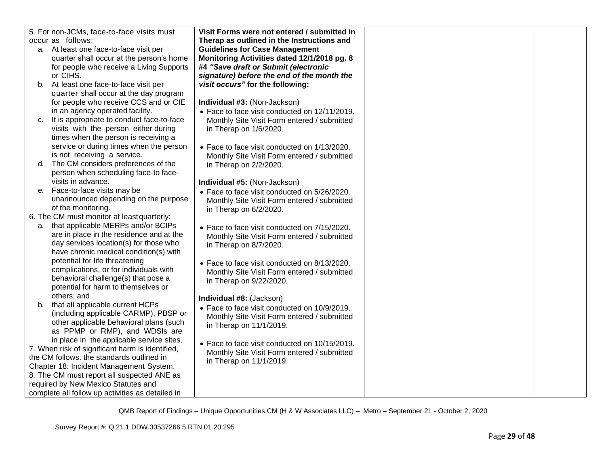| 5. For non-JCMs, face-to-face visits must        | Visit Forms were not entered / submitted in   |  |
|--------------------------------------------------|-----------------------------------------------|--|
| occur as follows:                                | Therap as outlined in the Instructions and    |  |
| a. At least one face-to-face visit per           | <b>Guidelines for Case Management</b>         |  |
| quarter shall occur at the person's home         | Monitoring Activities dated 12/1/2018 pg. 8   |  |
| for people who receive a Living Supports         | #4 "Save draft or Submit (electronic          |  |
| or CIHS.                                         | signature) before the end of the month the    |  |
| b. At least one face-to-face visit per           | visit occurs" for the following:              |  |
| quarter shall occur at the day program           |                                               |  |
| for people who receive CCS and or CIE            | Individual #3: (Non-Jackson)                  |  |
| in an agency operated facility.                  | • Face to face visit conducted on 12/11/2019. |  |
| It is appropriate to conduct face-to-face<br>C.  | Monthly Site Visit Form entered / submitted   |  |
| visits with the person either during             | in Therap on 1/6/2020.                        |  |
| times when the person is receiving a             |                                               |  |
| service or during times when the person          | • Face to face visit conducted on 1/13/2020.  |  |
| is not receiving a service.                      | Monthly Site Visit Form entered / submitted   |  |
| d. The CM considers preferences of the           | in Therap on 2/2/2020.                        |  |
| person when scheduling face-to face-             |                                               |  |
| visits in advance.                               | Individual #5: (Non-Jackson)                  |  |
| Face-to-face visits may be<br>е.                 | • Face to face visit conducted on 5/26/2020.  |  |
| unannounced depending on the purpose             | Monthly Site Visit Form entered / submitted   |  |
| of the monitoring.                               | in Therap on 6/2/2020.                        |  |
| 6. The CM must monitor at least quarterly:       |                                               |  |
| a. that applicable MERPs and/or BCIPs            | • Face to face visit conducted on 7/15/2020.  |  |
| are in place in the residence and at the         | Monthly Site Visit Form entered / submitted   |  |
| day services location(s) for those who           | in Therap on 8/7/2020.                        |  |
| have chronic medical condition(s) with           |                                               |  |
| potential for life threatening                   | • Face to face visit conducted on 8/13/2020.  |  |
| complications, or for individuals with           | Monthly Site Visit Form entered / submitted   |  |
| behavioral challenge(s) that pose a              | in Therap on 9/22/2020.                       |  |
| potential for harm to themselves or              |                                               |  |
| others; and                                      | Individual #8: (Jackson)                      |  |
| b. that all applicable current HCPs              | • Face to face visit conducted on 10/9/2019.  |  |
| (including applicable CARMP), PBSP or            | Monthly Site Visit Form entered / submitted   |  |
| other applicable behavioral plans (such          | in Therap on 11/1/2019.                       |  |
| as PPMP or RMP), and WDSIs are                   |                                               |  |
| in place in the applicable service sites.        |                                               |  |
| 7. When risk of significant harm is identified,  | • Face to face visit conducted on 10/15/2019. |  |
| the CM follows. the standards outlined in        | Monthly Site Visit Form entered / submitted   |  |
| Chapter 18: Incident Management System.          | in Therap on 11/1/2019.                       |  |
| 8. The CM must report all suspected ANE as       |                                               |  |
| required by New Mexico Statutes and              |                                               |  |
| complete all follow up activities as detailed in |                                               |  |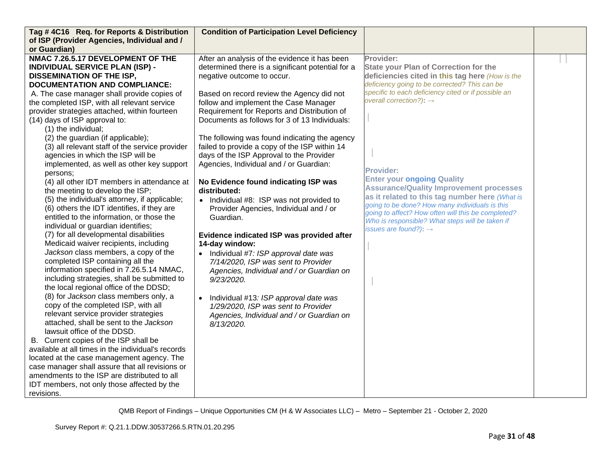| Tag #4C16 Req. for Reports & Distribution          | <b>Condition of Participation Level Deficiency</b> |                                                                                                       |  |
|----------------------------------------------------|----------------------------------------------------|-------------------------------------------------------------------------------------------------------|--|
| of ISP (Provider Agencies, Individual and /        |                                                    |                                                                                                       |  |
| or Guardian)                                       |                                                    |                                                                                                       |  |
| NMAC 7.26.5.17 DEVELOPMENT OF THE                  | After an analysis of the evidence it has been      | Provider:                                                                                             |  |
| <b>INDIVIDUAL SERVICE PLAN (ISP) -</b>             | determined there is a significant potential for a  | <b>State your Plan of Correction for the</b>                                                          |  |
| <b>DISSEMINATION OF THE ISP,</b>                   | negative outcome to occur.                         | deficiencies cited in this tag here (How is the                                                       |  |
| <b>DOCUMENTATION AND COMPLIANCE:</b>               |                                                    | deficiency going to be corrected? This can be                                                         |  |
| A. The case manager shall provide copies of        | Based on record review the Agency did not          | specific to each deficiency cited or if possible an                                                   |  |
| the completed ISP, with all relevant service       | follow and implement the Case Manager              | overall correction?): $\rightarrow$                                                                   |  |
| provider strategies attached, within fourteen      | Requirement for Reports and Distribution of        |                                                                                                       |  |
| (14) days of ISP approval to:                      | Documents as follows for 3 of 13 Individuals:      |                                                                                                       |  |
| (1) the individual;                                |                                                    |                                                                                                       |  |
| (2) the guardian (if applicable);                  | The following was found indicating the agency      |                                                                                                       |  |
| (3) all relevant staff of the service provider     | failed to provide a copy of the ISP within 14      |                                                                                                       |  |
| agencies in which the ISP will be                  | days of the ISP Approval to the Provider           |                                                                                                       |  |
| implemented, as well as other key support          | Agencies, Individual and / or Guardian:            |                                                                                                       |  |
| persons:                                           |                                                    | <b>Provider:</b>                                                                                      |  |
| (4) all other IDT members in attendance at         | No Evidence found indicating ISP was               | <b>Enter your ongoing Quality</b>                                                                     |  |
| the meeting to develop the ISP;                    | distributed:                                       | <b>Assurance/Quality Improvement processes</b>                                                        |  |
| (5) the individual's attorney, if applicable;      | • Individual #8: ISP was not provided to           | as it related to this tag number here (What is                                                        |  |
| (6) others the IDT identifies, if they are         | Provider Agencies, Individual and / or             | going to be done? How many individuals is this                                                        |  |
| entitled to the information, or those the          | Guardian.                                          | going to affect? How often will this be completed?<br>Who is responsible? What steps will be taken if |  |
| individual or guardian identifies;                 |                                                    | issues are found?): $\rightarrow$                                                                     |  |
| (7) for all developmental disabilities             | Evidence indicated ISP was provided after          |                                                                                                       |  |
| Medicaid waiver recipients, including              | 14-day window:                                     |                                                                                                       |  |
| Jackson class members, a copy of the               | Individual #7: ISP approval date was               |                                                                                                       |  |
| completed ISP containing all the                   | 7/14/2020, ISP was sent to Provider                |                                                                                                       |  |
| information specified in 7.26.5.14 NMAC,           | Agencies, Individual and / or Guardian on          |                                                                                                       |  |
| including strategies, shall be submitted to        | 9/23/2020.                                         |                                                                                                       |  |
| the local regional office of the DDSD;             |                                                    |                                                                                                       |  |
| (8) for Jackson class members only, a              | Individual #13: ISP approval date was              |                                                                                                       |  |
| copy of the completed ISP, with all                | 1/29/2020, ISP was sent to Provider                |                                                                                                       |  |
| relevant service provider strategies               | Agencies, Individual and / or Guardian on          |                                                                                                       |  |
| attached, shall be sent to the Jackson             | 8/13/2020.                                         |                                                                                                       |  |
| lawsuit office of the DDSD.                        |                                                    |                                                                                                       |  |
| B. Current copies of the ISP shall be              |                                                    |                                                                                                       |  |
| available at all times in the individual's records |                                                    |                                                                                                       |  |
| located at the case management agency. The         |                                                    |                                                                                                       |  |
| case manager shall assure that all revisions or    |                                                    |                                                                                                       |  |
| amendments to the ISP are distributed to all       |                                                    |                                                                                                       |  |
| IDT members, not only those affected by the        |                                                    |                                                                                                       |  |
| revisions.                                         |                                                    |                                                                                                       |  |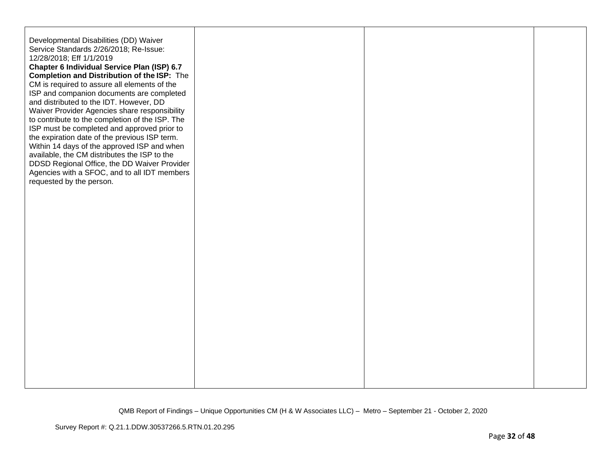| Developmental Disabilities (DD) Waiver<br>Service Standards 2/26/2018; Re-Issue:<br>12/28/2018; Eff 1/1/2019<br>Chapter 6 Individual Service Plan (ISP) 6.7<br><b>Completion and Distribution of the ISP:</b> The<br>CM is required to assure all elements of the<br>ISP and companion documents are completed<br>and distributed to the IDT. However, DD<br>Waiver Provider Agencies share responsibility<br>to contribute to the completion of the ISP. The<br>ISP must be completed and approved prior to<br>the expiration date of the previous ISP term.<br>Within 14 days of the approved ISP and when<br>available, the CM distributes the ISP to the<br>DDSD Regional Office, the DD Waiver Provider<br>Agencies with a SFOC, and to all IDT members<br>requested by the person. |  |  |
|------------------------------------------------------------------------------------------------------------------------------------------------------------------------------------------------------------------------------------------------------------------------------------------------------------------------------------------------------------------------------------------------------------------------------------------------------------------------------------------------------------------------------------------------------------------------------------------------------------------------------------------------------------------------------------------------------------------------------------------------------------------------------------------|--|--|
|                                                                                                                                                                                                                                                                                                                                                                                                                                                                                                                                                                                                                                                                                                                                                                                          |  |  |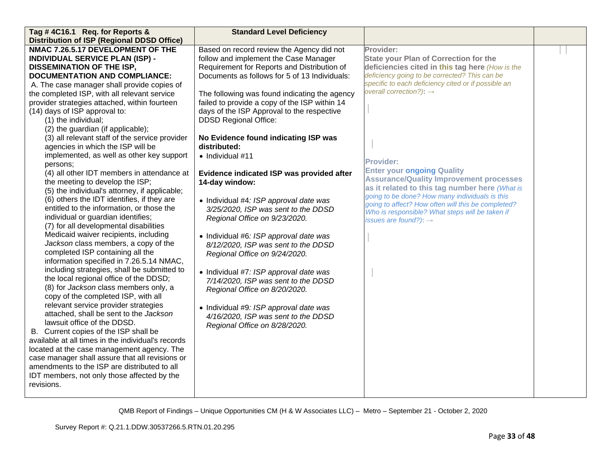| Tag #4C16.1 Req. for Reports &                                                 | <b>Standard Level Deficiency</b>              |                                                                                     |  |
|--------------------------------------------------------------------------------|-----------------------------------------------|-------------------------------------------------------------------------------------|--|
| <b>Distribution of ISP (Regional DDSD Office)</b>                              |                                               |                                                                                     |  |
| NMAC 7.26.5.17 DEVELOPMENT OF THE                                              | Based on record review the Agency did not     | Provider:                                                                           |  |
| <b>INDIVIDUAL SERVICE PLAN (ISP) -</b>                                         | follow and implement the Case Manager         | <b>State your Plan of Correction for the</b>                                        |  |
| <b>DISSEMINATION OF THE ISP,</b>                                               | Requirement for Reports and Distribution of   | deficiencies cited in this tag here (How is the                                     |  |
| <b>DOCUMENTATION AND COMPLIANCE:</b>                                           | Documents as follows for 5 of 13 Individuals: | deficiency going to be corrected? This can be                                       |  |
| A. The case manager shall provide copies of                                    |                                               | specific to each deficiency cited or if possible an                                 |  |
| the completed ISP, with all relevant service                                   | The following was found indicating the agency | overall correction?): $\rightarrow$                                                 |  |
| provider strategies attached, within fourteen                                  | failed to provide a copy of the ISP within 14 |                                                                                     |  |
| (14) days of ISP approval to:                                                  | days of the ISP Approval to the respective    |                                                                                     |  |
| (1) the individual;                                                            | <b>DDSD Regional Office:</b>                  |                                                                                     |  |
| (2) the guardian (if applicable);                                              |                                               |                                                                                     |  |
| (3) all relevant staff of the service provider                                 | No Evidence found indicating ISP was          |                                                                                     |  |
| agencies in which the ISP will be                                              | distributed:                                  |                                                                                     |  |
| implemented, as well as other key support                                      | · Individual #11                              |                                                                                     |  |
| persons;                                                                       |                                               | <b>Provider:</b>                                                                    |  |
| (4) all other IDT members in attendance at                                     | Evidence indicated ISP was provided after     | <b>Enter your ongoing Quality</b><br><b>Assurance/Quality Improvement processes</b> |  |
| the meeting to develop the ISP;                                                | 14-day window:                                | as it related to this tag number here (What is                                      |  |
| (5) the individual's attorney, if applicable;                                  |                                               | going to be done? How many individuals is this                                      |  |
| (6) others the IDT identifies, if they are                                     | • Individual #4: ISP approval date was        | going to affect? How often will this be completed?                                  |  |
| entitled to the information, or those the                                      | 3/25/2020, ISP was sent to the DDSD           | Who is responsible? What steps will be taken if                                     |  |
| individual or guardian identifies;                                             | Regional Office on 9/23/2020.                 | issues are found?): $\rightarrow$                                                   |  |
| (7) for all developmental disabilities                                         |                                               |                                                                                     |  |
| Medicaid waiver recipients, including                                          | • Individual #6: ISP approval date was        |                                                                                     |  |
| Jackson class members, a copy of the                                           | 8/12/2020, ISP was sent to the DDSD           |                                                                                     |  |
| completed ISP containing all the                                               | Regional Office on 9/24/2020.                 |                                                                                     |  |
| information specified in 7.26.5.14 NMAC,                                       |                                               |                                                                                     |  |
| including strategies, shall be submitted to                                    | • Individual #7: ISP approval date was        |                                                                                     |  |
| the local regional office of the DDSD;                                         | 7/14/2020, ISP was sent to the DDSD           |                                                                                     |  |
| (8) for Jackson class members only, a                                          | Regional Office on 8/20/2020.                 |                                                                                     |  |
| copy of the completed ISP, with all                                            |                                               |                                                                                     |  |
| relevant service provider strategies<br>attached, shall be sent to the Jackson | • Individual #9: ISP approval date was        |                                                                                     |  |
| lawsuit office of the DDSD.                                                    | 4/16/2020, ISP was sent to the DDSD           |                                                                                     |  |
| B. Current copies of the ISP shall be                                          | Regional Office on 8/28/2020.                 |                                                                                     |  |
| available at all times in the individual's records                             |                                               |                                                                                     |  |
| located at the case management agency. The                                     |                                               |                                                                                     |  |
| case manager shall assure that all revisions or                                |                                               |                                                                                     |  |
| amendments to the ISP are distributed to all                                   |                                               |                                                                                     |  |
| IDT members, not only those affected by the                                    |                                               |                                                                                     |  |
| revisions.                                                                     |                                               |                                                                                     |  |
|                                                                                |                                               |                                                                                     |  |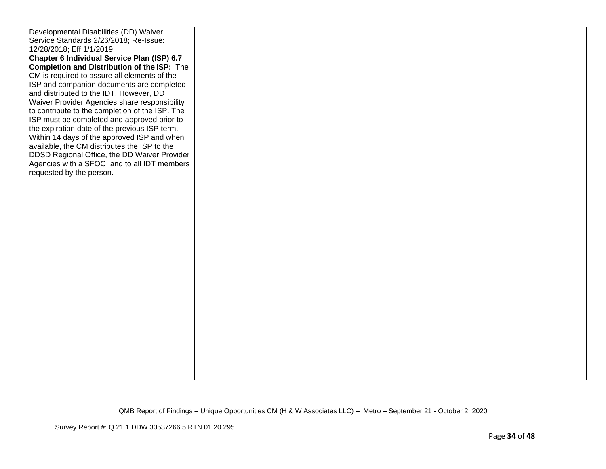| Developmental Disabilities (DD) Waiver          |  |  |
|-------------------------------------------------|--|--|
| Service Standards 2/26/2018; Re-Issue:          |  |  |
| 12/28/2018; Eff 1/1/2019                        |  |  |
| Chapter 6 Individual Service Plan (ISP) 6.7     |  |  |
| Completion and Distribution of the ISP: The     |  |  |
| CM is required to assure all elements of the    |  |  |
| ISP and companion documents are completed       |  |  |
| and distributed to the IDT. However, DD         |  |  |
| Waiver Provider Agencies share responsibility   |  |  |
| to contribute to the completion of the ISP. The |  |  |
| ISP must be completed and approved prior to     |  |  |
| the expiration date of the previous ISP term.   |  |  |
| Within 14 days of the approved ISP and when     |  |  |
| available, the CM distributes the ISP to the    |  |  |
| DDSD Regional Office, the DD Waiver Provider    |  |  |
| Agencies with a SFOC, and to all IDT members    |  |  |
| requested by the person.                        |  |  |
|                                                 |  |  |
|                                                 |  |  |
|                                                 |  |  |
|                                                 |  |  |
|                                                 |  |  |
|                                                 |  |  |
|                                                 |  |  |
|                                                 |  |  |
|                                                 |  |  |
|                                                 |  |  |
|                                                 |  |  |
|                                                 |  |  |
|                                                 |  |  |
|                                                 |  |  |
|                                                 |  |  |
|                                                 |  |  |
|                                                 |  |  |
|                                                 |  |  |
|                                                 |  |  |
|                                                 |  |  |
|                                                 |  |  |
|                                                 |  |  |
|                                                 |  |  |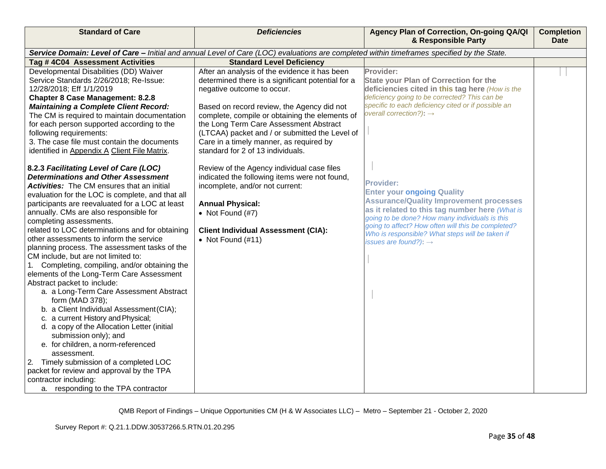| <b>Standard of Care</b>                                                                                                                                                                                                                                                                                                                                                                                                                                                                                                                                                                                                                                                                                                                                                                                                                                                                                                                                                                                                                                                     | <b>Deficiencies</b>                                                                                                                                                                                                                                                                                                                                                                                          | Agency Plan of Correction, On-going QA/QI<br>& Responsible Party                                                                                                                                                                                                                                                                                          | <b>Completion</b><br><b>Date</b> |
|-----------------------------------------------------------------------------------------------------------------------------------------------------------------------------------------------------------------------------------------------------------------------------------------------------------------------------------------------------------------------------------------------------------------------------------------------------------------------------------------------------------------------------------------------------------------------------------------------------------------------------------------------------------------------------------------------------------------------------------------------------------------------------------------------------------------------------------------------------------------------------------------------------------------------------------------------------------------------------------------------------------------------------------------------------------------------------|--------------------------------------------------------------------------------------------------------------------------------------------------------------------------------------------------------------------------------------------------------------------------------------------------------------------------------------------------------------------------------------------------------------|-----------------------------------------------------------------------------------------------------------------------------------------------------------------------------------------------------------------------------------------------------------------------------------------------------------------------------------------------------------|----------------------------------|
|                                                                                                                                                                                                                                                                                                                                                                                                                                                                                                                                                                                                                                                                                                                                                                                                                                                                                                                                                                                                                                                                             | Service Domain: Level of Care - Initial and annual Level of Care (LOC) evaluations are completed within timeframes specified by the State.                                                                                                                                                                                                                                                                   |                                                                                                                                                                                                                                                                                                                                                           |                                  |
| Tag #4C04 Assessment Activities                                                                                                                                                                                                                                                                                                                                                                                                                                                                                                                                                                                                                                                                                                                                                                                                                                                                                                                                                                                                                                             | <b>Standard Level Deficiency</b>                                                                                                                                                                                                                                                                                                                                                                             |                                                                                                                                                                                                                                                                                                                                                           |                                  |
| Developmental Disabilities (DD) Waiver<br>Service Standards 2/26/2018; Re-Issue:<br>12/28/2018; Eff 1/1/2019<br><b>Chapter 8 Case Management: 8.2.8</b><br><b>Maintaining a Complete Client Record:</b><br>The CM is required to maintain documentation<br>for each person supported according to the<br>following requirements:<br>3. The case file must contain the documents<br>identified in Appendix A Client File Matrix.                                                                                                                                                                                                                                                                                                                                                                                                                                                                                                                                                                                                                                             | After an analysis of the evidence it has been<br>determined there is a significant potential for a<br>negative outcome to occur.<br>Based on record review, the Agency did not<br>complete, compile or obtaining the elements of<br>the Long Term Care Assessment Abstract<br>(LTCAA) packet and / or submitted the Level of<br>Care in a timely manner, as required by<br>standard for 2 of 13 individuals. | Provider:<br><b>State your Plan of Correction for the</b><br>deficiencies cited in this tag here (How is the<br>deficiency going to be corrected? This can be<br>specific to each deficiency cited or if possible an<br>overall correction?): $\rightarrow$                                                                                               |                                  |
| 8.2.3 Facilitating Level of Care (LOC)<br><b>Determinations and Other Assessment</b><br><b>Activities:</b> The CM ensures that an initial<br>evaluation for the LOC is complete, and that all<br>participants are reevaluated for a LOC at least<br>annually. CMs are also responsible for<br>completing assessments.<br>related to LOC determinations and for obtaining<br>other assessments to inform the service<br>planning process. The assessment tasks of the<br>CM include, but are not limited to:<br>Completing, compiling, and/or obtaining the<br>elements of the Long-Term Care Assessment<br>Abstract packet to include:<br>a. a Long-Term Care Assessment Abstract<br>form (MAD 378);<br>b. a Client Individual Assessment (CIA);<br>c. a current History and Physical;<br>d. a copy of the Allocation Letter (initial<br>submission only); and<br>e. for children, a norm-referenced<br>assessment.<br>2. Timely submission of a completed LOC<br>packet for review and approval by the TPA<br>contractor including:<br>a. responding to the TPA contractor | Review of the Agency individual case files<br>indicated the following items were not found,<br>incomplete, and/or not current:<br><b>Annual Physical:</b><br>• Not Found $(#7)$<br><b>Client Individual Assessment (CIA):</b><br>• Not Found $(\#11)$                                                                                                                                                        | <b>Provider:</b><br><b>Enter your ongoing Quality</b><br><b>Assurance/Quality Improvement processes</b><br>as it related to this tag number here (What is<br>going to be done? How many individuals is this<br>going to affect? How often will this be completed?<br>Who is responsible? What steps will be taken if<br>issues are found?): $\rightarrow$ |                                  |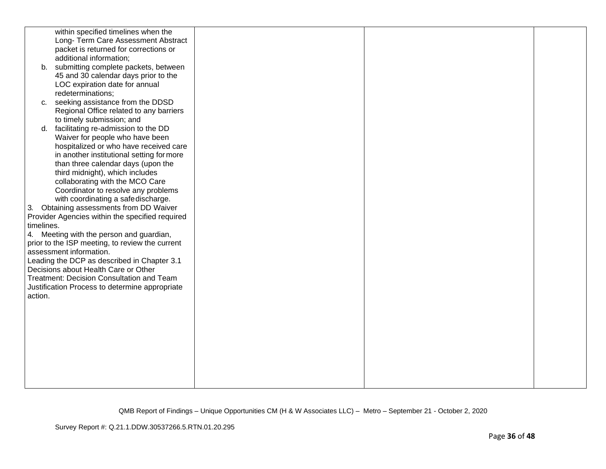|            | within specified timelines when the             |  |  |
|------------|-------------------------------------------------|--|--|
|            |                                                 |  |  |
|            | Long- Term Care Assessment Abstract             |  |  |
|            | packet is returned for corrections or           |  |  |
|            | additional information;                         |  |  |
|            | b. submitting complete packets, between         |  |  |
|            | 45 and 30 calendar days prior to the            |  |  |
|            | LOC expiration date for annual                  |  |  |
|            | redeterminations;                               |  |  |
| $C_{1}$    | seeking assistance from the DDSD                |  |  |
|            | Regional Office related to any barriers         |  |  |
|            | to timely submission; and                       |  |  |
|            | facilitating re-admission to the DD             |  |  |
| d.         |                                                 |  |  |
|            | Waiver for people who have been                 |  |  |
|            | hospitalized or who have received care          |  |  |
|            | in another institutional setting for more       |  |  |
|            | than three calendar days (upon the              |  |  |
|            | third midnight), which includes                 |  |  |
|            | collaborating with the MCO Care                 |  |  |
|            | Coordinator to resolve any problems             |  |  |
|            | with coordinating a safedischarge.              |  |  |
|            | 3. Obtaining assessments from DD Waiver         |  |  |
|            | Provider Agencies within the specified required |  |  |
| timelines. |                                                 |  |  |
|            | 4. Meeting with the person and guardian,        |  |  |
|            | prior to the ISP meeting, to review the current |  |  |
|            | assessment information.                         |  |  |
|            | Leading the DCP as described in Chapter 3.1     |  |  |
|            | Decisions about Health Care or Other            |  |  |
|            | Treatment: Decision Consultation and Team       |  |  |
|            | Justification Process to determine appropriate  |  |  |
|            |                                                 |  |  |
| action.    |                                                 |  |  |
|            |                                                 |  |  |
|            |                                                 |  |  |
|            |                                                 |  |  |
|            |                                                 |  |  |
|            |                                                 |  |  |
|            |                                                 |  |  |
|            |                                                 |  |  |
|            |                                                 |  |  |
|            |                                                 |  |  |
|            |                                                 |  |  |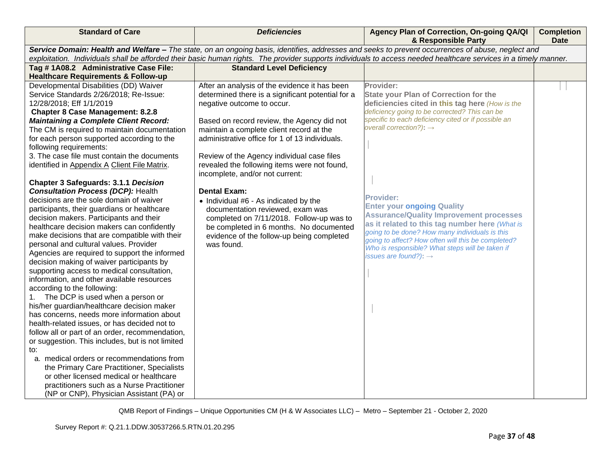| <b>Standard of Care</b>                                                                 | <b>Deficiencies</b>                               | Agency Plan of Correction, On-going QA/QI<br>& Responsible Party                                                                                                 | <b>Completion</b><br><b>Date</b> |
|-----------------------------------------------------------------------------------------|---------------------------------------------------|------------------------------------------------------------------------------------------------------------------------------------------------------------------|----------------------------------|
|                                                                                         |                                                   | Service Domain: Health and Welfare - The state, on an ongoing basis, identifies, addresses and seeks to prevent occurrences of abuse, neglect and                |                                  |
|                                                                                         |                                                   | exploitation. Individuals shall be afforded their basic human rights. The provider supports individuals to access needed healthcare services in a timely manner. |                                  |
| Tag # 1A08.2 Administrative Case File:                                                  | <b>Standard Level Deficiency</b>                  |                                                                                                                                                                  |                                  |
| <b>Healthcare Requirements &amp; Follow-up</b>                                          |                                                   |                                                                                                                                                                  |                                  |
| Developmental Disabilities (DD) Waiver                                                  | After an analysis of the evidence it has been     | Provider:                                                                                                                                                        |                                  |
| Service Standards 2/26/2018; Re-Issue:                                                  | determined there is a significant potential for a | <b>State your Plan of Correction for the</b>                                                                                                                     |                                  |
| 12/28/2018; Eff 1/1/2019                                                                | negative outcome to occur.                        | deficiencies cited in this tag here (How is the                                                                                                                  |                                  |
| <b>Chapter 8 Case Management: 8.2.8</b>                                                 |                                                   | deficiency going to be corrected? This can be                                                                                                                    |                                  |
| <b>Maintaining a Complete Client Record:</b>                                            | Based on record review, the Agency did not        | specific to each deficiency cited or if possible an<br>overall correction?): $\rightarrow$                                                                       |                                  |
| The CM is required to maintain documentation                                            | maintain a complete client record at the          |                                                                                                                                                                  |                                  |
| for each person supported according to the                                              | administrative office for 1 of 13 individuals.    |                                                                                                                                                                  |                                  |
| following requirements:                                                                 |                                                   |                                                                                                                                                                  |                                  |
| 3. The case file must contain the documents                                             | Review of the Agency individual case files        |                                                                                                                                                                  |                                  |
| identified in Appendix A Client File Matrix.                                            | revealed the following items were not found,      |                                                                                                                                                                  |                                  |
|                                                                                         | incomplete, and/or not current:                   |                                                                                                                                                                  |                                  |
| <b>Chapter 3 Safeguards: 3.1.1 Decision</b>                                             |                                                   |                                                                                                                                                                  |                                  |
| <b>Consultation Process (DCP): Health</b>                                               | <b>Dental Exam:</b>                               | <b>Provider:</b>                                                                                                                                                 |                                  |
| decisions are the sole domain of waiver                                                 | • Individual #6 - As indicated by the             | <b>Enter your ongoing Quality</b>                                                                                                                                |                                  |
| participants, their guardians or healthcare                                             | documentation reviewed, exam was                  | <b>Assurance/Quality Improvement processes</b>                                                                                                                   |                                  |
| decision makers. Participants and their                                                 | completed on 7/11/2018. Follow-up was to          | as it related to this tag number here (What is                                                                                                                   |                                  |
| healthcare decision makers can confidently                                              | be completed in 6 months. No documented           | going to be done? How many individuals is this                                                                                                                   |                                  |
| make decisions that are compatible with their                                           | evidence of the follow-up being completed         | going to affect? How often will this be completed?                                                                                                               |                                  |
| personal and cultural values. Provider<br>Agencies are required to support the informed | was found.                                        | Who is responsible? What steps will be taken if                                                                                                                  |                                  |
| decision making of waiver participants by                                               |                                                   | issues are found?): $\rightarrow$                                                                                                                                |                                  |
| supporting access to medical consultation,                                              |                                                   |                                                                                                                                                                  |                                  |
| information, and other available resources                                              |                                                   |                                                                                                                                                                  |                                  |
| according to the following:                                                             |                                                   |                                                                                                                                                                  |                                  |
| The DCP is used when a person or<br>1.                                                  |                                                   |                                                                                                                                                                  |                                  |
| his/her guardian/healthcare decision maker                                              |                                                   |                                                                                                                                                                  |                                  |
| has concerns, needs more information about                                              |                                                   |                                                                                                                                                                  |                                  |
| health-related issues, or has decided not to                                            |                                                   |                                                                                                                                                                  |                                  |
| follow all or part of an order, recommendation,                                         |                                                   |                                                                                                                                                                  |                                  |
| or suggestion. This includes, but is not limited                                        |                                                   |                                                                                                                                                                  |                                  |
| to:                                                                                     |                                                   |                                                                                                                                                                  |                                  |
| a. medical orders or recommendations from                                               |                                                   |                                                                                                                                                                  |                                  |
| the Primary Care Practitioner, Specialists                                              |                                                   |                                                                                                                                                                  |                                  |
| or other licensed medical or healthcare                                                 |                                                   |                                                                                                                                                                  |                                  |
| practitioners such as a Nurse Practitioner                                              |                                                   |                                                                                                                                                                  |                                  |
| (NP or CNP), Physician Assistant (PA) or                                                |                                                   |                                                                                                                                                                  |                                  |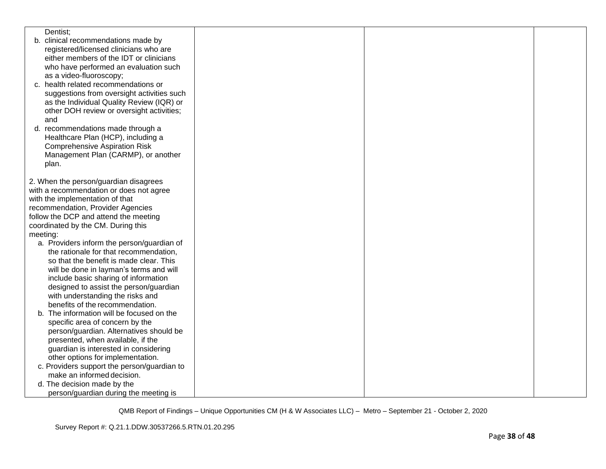|          | Dentist;                                    |  |  |
|----------|---------------------------------------------|--|--|
|          | b. clinical recommendations made by         |  |  |
|          | registered/licensed clinicians who are      |  |  |
|          | either members of the IDT or clinicians     |  |  |
|          | who have performed an evaluation such       |  |  |
|          | as a video-fluoroscopy;                     |  |  |
|          | c. health related recommendations or        |  |  |
|          | suggestions from oversight activities such  |  |  |
|          | as the Individual Quality Review (IQR) or   |  |  |
|          | other DOH review or oversight activities;   |  |  |
|          | and                                         |  |  |
|          | d. recommendations made through a           |  |  |
|          | Healthcare Plan (HCP), including a          |  |  |
|          | <b>Comprehensive Aspiration Risk</b>        |  |  |
|          | Management Plan (CARMP), or another         |  |  |
|          | plan.                                       |  |  |
|          |                                             |  |  |
|          | 2. When the person/guardian disagrees       |  |  |
|          | with a recommendation or does not agree     |  |  |
|          | with the implementation of that             |  |  |
|          | recommendation, Provider Agencies           |  |  |
|          | follow the DCP and attend the meeting       |  |  |
|          | coordinated by the CM. During this          |  |  |
| meeting: |                                             |  |  |
|          | a. Providers inform the person/guardian of  |  |  |
|          | the rationale for that recommendation,      |  |  |
|          | so that the benefit is made clear. This     |  |  |
|          | will be done in layman's terms and will     |  |  |
|          | include basic sharing of information        |  |  |
|          | designed to assist the person/guardian      |  |  |
|          | with understanding the risks and            |  |  |
|          | benefits of the recommendation.             |  |  |
|          | b. The information will be focused on the   |  |  |
|          | specific area of concern by the             |  |  |
|          | person/guardian. Alternatives should be     |  |  |
|          | presented, when available, if the           |  |  |
|          | guardian is interested in considering       |  |  |
|          | other options for implementation.           |  |  |
|          | c. Providers support the person/guardian to |  |  |
|          | make an informed decision.                  |  |  |
|          | d. The decision made by the                 |  |  |
|          | person/guardian during the meeting is       |  |  |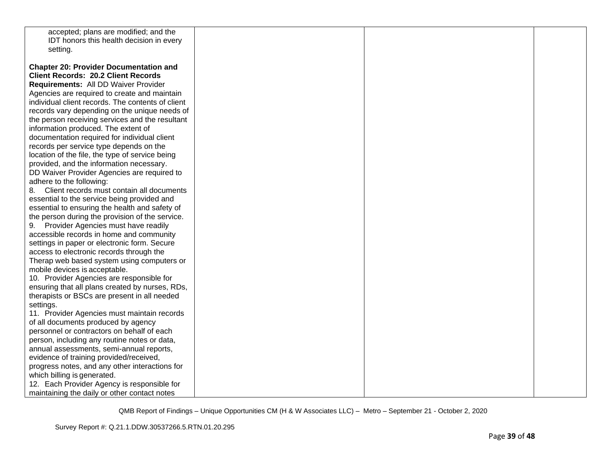| accepted; plans are modified; and the                                              |  |  |
|------------------------------------------------------------------------------------|--|--|
| IDT honors this health decision in every                                           |  |  |
| setting.                                                                           |  |  |
|                                                                                    |  |  |
| <b>Chapter 20: Provider Documentation and</b>                                      |  |  |
| <b>Client Records: 20.2 Client Records</b>                                         |  |  |
| Requirements: All DD Waiver Provider                                               |  |  |
| Agencies are required to create and maintain                                       |  |  |
| individual client records. The contents of client                                  |  |  |
| records vary depending on the unique needs of                                      |  |  |
| the person receiving services and the resultant                                    |  |  |
| information produced. The extent of                                                |  |  |
| documentation required for individual client                                       |  |  |
| records per service type depends on the                                            |  |  |
| location of the file, the type of service being                                    |  |  |
| provided, and the information necessary.                                           |  |  |
| DD Waiver Provider Agencies are required to                                        |  |  |
| adhere to the following:                                                           |  |  |
| 8. Client records must contain all documents                                       |  |  |
| essential to the service being provided and                                        |  |  |
| essential to ensuring the health and safety of                                     |  |  |
| the person during the provision of the service.                                    |  |  |
|                                                                                    |  |  |
| 9. Provider Agencies must have readily<br>accessible records in home and community |  |  |
|                                                                                    |  |  |
| settings in paper or electronic form. Secure                                       |  |  |
| access to electronic records through the                                           |  |  |
| Therap web based system using computers or                                         |  |  |
| mobile devices is acceptable.                                                      |  |  |
| 10. Provider Agencies are responsible for                                          |  |  |
| ensuring that all plans created by nurses, RDs,                                    |  |  |
| therapists or BSCs are present in all needed                                       |  |  |
| settings.                                                                          |  |  |
| 11. Provider Agencies must maintain records                                        |  |  |
| of all documents produced by agency                                                |  |  |
| personnel or contractors on behalf of each                                         |  |  |
| person, including any routine notes or data,                                       |  |  |
| annual assessments, semi-annual reports,                                           |  |  |
| evidence of training provided/received,                                            |  |  |
| progress notes, and any other interactions for                                     |  |  |
| which billing is generated.                                                        |  |  |
| 12. Each Provider Agency is responsible for                                        |  |  |
| maintaining the daily or other contact notes                                       |  |  |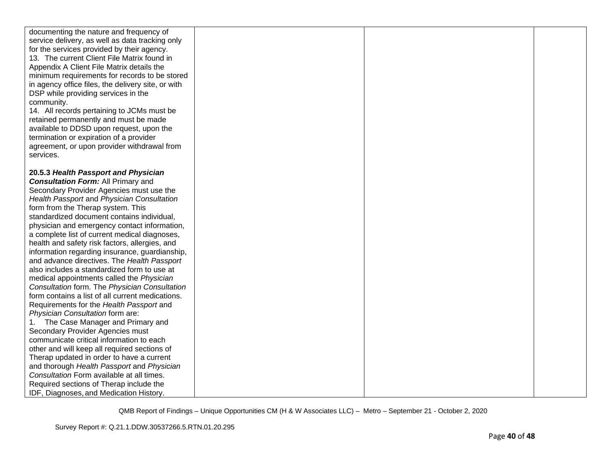| documenting the nature and frequency of<br>service delivery, as well as data tracking only<br>for the services provided by their agency.<br>13. The current Client File Matrix found in<br>Appendix A Client File Matrix details the<br>minimum requirements for records to be stored<br>in agency office files, the delivery site, or with<br>DSP while providing services in the<br>community.<br>14. All records pertaining to JCMs must be<br>retained permanently and must be made<br>available to DDSD upon request, upon the<br>termination or expiration of a provider<br>agreement, or upon provider withdrawal from<br>services.                                                                                                                                                                                                                                  |  |  |
|-----------------------------------------------------------------------------------------------------------------------------------------------------------------------------------------------------------------------------------------------------------------------------------------------------------------------------------------------------------------------------------------------------------------------------------------------------------------------------------------------------------------------------------------------------------------------------------------------------------------------------------------------------------------------------------------------------------------------------------------------------------------------------------------------------------------------------------------------------------------------------|--|--|
| 20.5.3 Health Passport and Physician<br><b>Consultation Form: All Primary and</b><br>Secondary Provider Agencies must use the<br>Health Passport and Physician Consultation<br>form from the Therap system. This<br>standardized document contains individual,<br>physician and emergency contact information,<br>a complete list of current medical diagnoses,<br>health and safety risk factors, allergies, and<br>information regarding insurance, guardianship,<br>and advance directives. The Health Passport<br>also includes a standardized form to use at<br>medical appointments called the Physician<br>Consultation form. The Physician Consultation<br>form contains a list of all current medications.<br>Requirements for the Health Passport and<br>Physician Consultation form are:<br>The Case Manager and Primary and<br>Secondary Provider Agencies must |  |  |
| communicate critical information to each<br>other and will keep all required sections of<br>Therap updated in order to have a current<br>and thorough Health Passport and Physician<br>Consultation Form available at all times.<br>Required sections of Therap include the<br>IDF, Diagnoses, and Medication History.                                                                                                                                                                                                                                                                                                                                                                                                                                                                                                                                                      |  |  |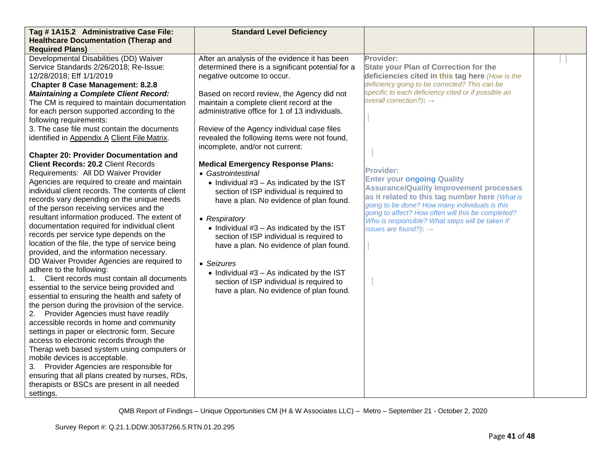| Tag #1A15.2 Administrative Case File:<br><b>Standard Level Deficiency</b><br><b>Healthcare Documentation (Therap and</b>                                                                                                                                                                                                                                                                                                                                                                                                                                                                                                                                                                                                                                                                                                                                                                                                                                                                                                                                                                                                                                                                                                                                                                                                                                                                                                                                                                                                                                                                                                                                                                                                                                                                                                                                                                                                                                                                                                                                                                                                                                                                                                                                                                                                                                                                                                                                                                                                                                                                                           |                                                                                                                                                                                                                                                                                                                                                                                                                                                                                                                                                                                                                          |  |
|--------------------------------------------------------------------------------------------------------------------------------------------------------------------------------------------------------------------------------------------------------------------------------------------------------------------------------------------------------------------------------------------------------------------------------------------------------------------------------------------------------------------------------------------------------------------------------------------------------------------------------------------------------------------------------------------------------------------------------------------------------------------------------------------------------------------------------------------------------------------------------------------------------------------------------------------------------------------------------------------------------------------------------------------------------------------------------------------------------------------------------------------------------------------------------------------------------------------------------------------------------------------------------------------------------------------------------------------------------------------------------------------------------------------------------------------------------------------------------------------------------------------------------------------------------------------------------------------------------------------------------------------------------------------------------------------------------------------------------------------------------------------------------------------------------------------------------------------------------------------------------------------------------------------------------------------------------------------------------------------------------------------------------------------------------------------------------------------------------------------------------------------------------------------------------------------------------------------------------------------------------------------------------------------------------------------------------------------------------------------------------------------------------------------------------------------------------------------------------------------------------------------------------------------------------------------------------------------------------------------|--------------------------------------------------------------------------------------------------------------------------------------------------------------------------------------------------------------------------------------------------------------------------------------------------------------------------------------------------------------------------------------------------------------------------------------------------------------------------------------------------------------------------------------------------------------------------------------------------------------------------|--|
| <b>Required Plans)</b>                                                                                                                                                                                                                                                                                                                                                                                                                                                                                                                                                                                                                                                                                                                                                                                                                                                                                                                                                                                                                                                                                                                                                                                                                                                                                                                                                                                                                                                                                                                                                                                                                                                                                                                                                                                                                                                                                                                                                                                                                                                                                                                                                                                                                                                                                                                                                                                                                                                                                                                                                                                             |                                                                                                                                                                                                                                                                                                                                                                                                                                                                                                                                                                                                                          |  |
| Developmental Disabilities (DD) Waiver<br>After an analysis of the evidence it has been<br>Service Standards 2/26/2018; Re-Issue:<br>determined there is a significant potential for a<br>12/28/2018; Eff 1/1/2019<br>negative outcome to occur.<br><b>Chapter 8 Case Management: 8.2.8</b><br><b>Maintaining a Complete Client Record:</b><br>Based on record review, the Agency did not<br>The CM is required to maintain documentation<br>maintain a complete client record at the<br>administrative office for 1 of 13 individuals.<br>for each person supported according to the<br>following requirements:<br>3. The case file must contain the documents<br>Review of the Agency individual case files<br>identified in Appendix A Client File Matrix.<br>revealed the following items were not found,<br>incomplete, and/or not current:<br><b>Chapter 20: Provider Documentation and</b><br><b>Client Records: 20.2 Client Records</b><br><b>Medical Emergency Response Plans:</b><br>Requirements: All DD Waiver Provider<br>• Gastrointestinal<br>Agencies are required to create and maintain<br>$\bullet$ Individual #3 - As indicated by the IST<br>individual client records. The contents of client<br>section of ISP individual is required to<br>records vary depending on the unique needs<br>have a plan. No evidence of plan found.<br>of the person receiving services and the<br>resultant information produced. The extent of<br>• Respiratory<br>documentation required for individual client<br>$\bullet$ Individual #3 - As indicated by the IST<br>records per service type depends on the<br>section of ISP individual is required to<br>location of the file, the type of service being<br>have a plan. No evidence of plan found.<br>provided, and the information necessary.<br>DD Waiver Provider Agencies are required to<br>• Seizures<br>adhere to the following:<br>• Individual $#3 - As$ indicated by the IST<br>1. Client records must contain all documents<br>section of ISP individual is required to<br>essential to the service being provided and<br>have a plan. No evidence of plan found.<br>essential to ensuring the health and safety of<br>the person during the provision of the service.<br>Provider Agencies must have readily<br>2.<br>accessible records in home and community<br>settings in paper or electronic form. Secure<br>access to electronic records through the<br>Therap web based system using computers or<br>mobile devices is acceptable.<br>3. Provider Agencies are responsible for<br>ensuring that all plans created by nurses, RDs, | Provider:<br><b>State your Plan of Correction for the</b><br>deficiencies cited in this tag here (How is the<br>deficiency going to be corrected? This can be<br>specific to each deficiency cited or if possible an<br>overall correction?): $\rightarrow$<br><b>Provider:</b><br><b>Enter your ongoing Quality</b><br><b>Assurance/Quality Improvement processes</b><br>as it related to this tag number here (What is<br>going to be done? How many individuals is this<br>going to affect? How often will this be completed?<br>Who is responsible? What steps will be taken if<br>issues are found?): $\rightarrow$ |  |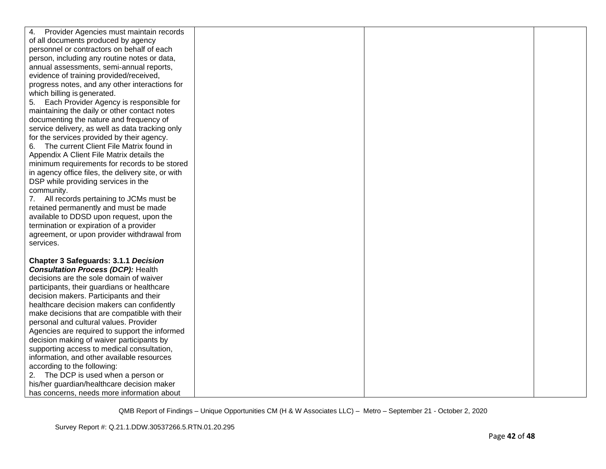| Provider Agencies must maintain records<br>4.      |  |  |
|----------------------------------------------------|--|--|
| of all documents produced by agency                |  |  |
| personnel or contractors on behalf of each         |  |  |
| person, including any routine notes or data,       |  |  |
| annual assessments, semi-annual reports,           |  |  |
| evidence of training provided/received,            |  |  |
| progress notes, and any other interactions for     |  |  |
| which billing is generated.                        |  |  |
| Each Provider Agency is responsible for<br>5.      |  |  |
| maintaining the daily or other contact notes       |  |  |
| documenting the nature and frequency of            |  |  |
| service delivery, as well as data tracking only    |  |  |
| for the services provided by their agency.         |  |  |
| The current Client File Matrix found in<br>6.      |  |  |
| Appendix A Client File Matrix details the          |  |  |
| minimum requirements for records to be stored      |  |  |
| in agency office files, the delivery site, or with |  |  |
| DSP while providing services in the                |  |  |
| community.                                         |  |  |
| 7. All records pertaining to JCMs must be          |  |  |
| retained permanently and must be made              |  |  |
| available to DDSD upon request, upon the           |  |  |
| termination or expiration of a provider            |  |  |
| agreement, or upon provider withdrawal from        |  |  |
| services.                                          |  |  |
|                                                    |  |  |
| Chapter 3 Safeguards: 3.1.1 Decision               |  |  |
| <b>Consultation Process (DCP): Health</b>          |  |  |
| decisions are the sole domain of waiver            |  |  |
| participants, their guardians or healthcare        |  |  |
| decision makers. Participants and their            |  |  |
| healthcare decision makers can confidently         |  |  |
| make decisions that are compatible with their      |  |  |
| personal and cultural values. Provider             |  |  |
| Agencies are required to support the informed      |  |  |
| decision making of waiver participants by          |  |  |
| supporting access to medical consultation,         |  |  |
| information, and other available resources         |  |  |
| according to the following:                        |  |  |
| 2. The DCP is used when a person or                |  |  |
| his/her guardian/healthcare decision maker         |  |  |
| has concerns, needs more information about         |  |  |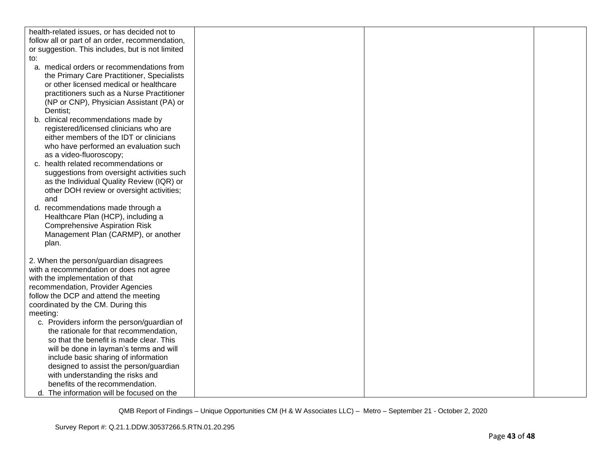| health-related issues, or has decided not to     |  |  |
|--------------------------------------------------|--|--|
| follow all or part of an order, recommendation,  |  |  |
| or suggestion. This includes, but is not limited |  |  |
| to:                                              |  |  |
| a. medical orders or recommendations from        |  |  |
| the Primary Care Practitioner, Specialists       |  |  |
| or other licensed medical or healthcare          |  |  |
| practitioners such as a Nurse Practitioner       |  |  |
| (NP or CNP), Physician Assistant (PA) or         |  |  |
| Dentist;                                         |  |  |
| b. clinical recommendations made by              |  |  |
| registered/licensed clinicians who are           |  |  |
| either members of the IDT or clinicians          |  |  |
| who have performed an evaluation such            |  |  |
| as a video-fluoroscopy;                          |  |  |
| c. health related recommendations or             |  |  |
| suggestions from oversight activities such       |  |  |
| as the Individual Quality Review (IQR) or        |  |  |
| other DOH review or oversight activities;        |  |  |
| and                                              |  |  |
| d. recommendations made through a                |  |  |
| Healthcare Plan (HCP), including a               |  |  |
| <b>Comprehensive Aspiration Risk</b>             |  |  |
| Management Plan (CARMP), or another              |  |  |
| plan.                                            |  |  |
|                                                  |  |  |
| 2. When the person/guardian disagrees            |  |  |
| with a recommendation or does not agree          |  |  |
| with the implementation of that                  |  |  |
| recommendation, Provider Agencies                |  |  |
| follow the DCP and attend the meeting            |  |  |
| coordinated by the CM. During this               |  |  |
| meeting:                                         |  |  |
| c. Providers inform the person/guardian of       |  |  |
| the rationale for that recommendation,           |  |  |
| so that the benefit is made clear. This          |  |  |
| will be done in layman's terms and will          |  |  |
| include basic sharing of information             |  |  |
| designed to assist the person/guardian           |  |  |
| with understanding the risks and                 |  |  |
| benefits of the recommendation.                  |  |  |
| d. The information will be focused on the        |  |  |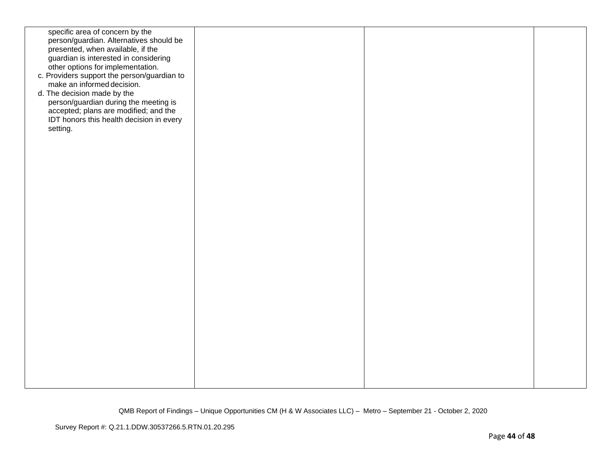| specific area of concern by the<br>person/guardian. Alternatives should be<br>presented, when available, if the<br>guardian is interested in considering<br>other options for implementation.<br>c. Providers support the person/guardian to<br>make an informed decision.<br>d. The decision made by the<br>person/guardian during the meeting is<br>accepted; plans are modified; and the<br>IDT honors this health decision in every<br>setting. |  |  |
|-----------------------------------------------------------------------------------------------------------------------------------------------------------------------------------------------------------------------------------------------------------------------------------------------------------------------------------------------------------------------------------------------------------------------------------------------------|--|--|
|                                                                                                                                                                                                                                                                                                                                                                                                                                                     |  |  |
|                                                                                                                                                                                                                                                                                                                                                                                                                                                     |  |  |
|                                                                                                                                                                                                                                                                                                                                                                                                                                                     |  |  |
|                                                                                                                                                                                                                                                                                                                                                                                                                                                     |  |  |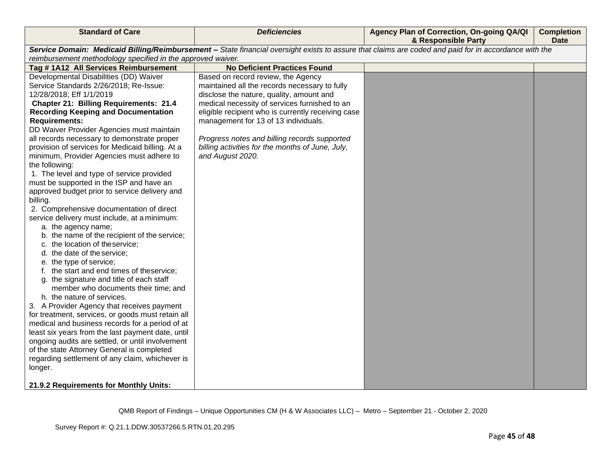| <b>Standard of Care</b>                                     | <b>Deficiencies</b>                                                                                                                                   | Agency Plan of Correction, On-going QA/QI<br>& Responsible Party | <b>Completion</b><br><b>Date</b> |
|-------------------------------------------------------------|-------------------------------------------------------------------------------------------------------------------------------------------------------|------------------------------------------------------------------|----------------------------------|
|                                                             | Service Domain: Medicaid Billing/Reimbursement - State financial oversight exists to assure that claims are coded and paid for in accordance with the |                                                                  |                                  |
| reimbursement methodology specified in the approved waiver. |                                                                                                                                                       |                                                                  |                                  |
| Tag #1A12 All Services Reimbursement                        | <b>No Deficient Practices Found</b>                                                                                                                   |                                                                  |                                  |
| Developmental Disabilities (DD) Waiver                      | Based on record review, the Agency                                                                                                                    |                                                                  |                                  |
| Service Standards 2/26/2018; Re-Issue:                      | maintained all the records necessary to fully                                                                                                         |                                                                  |                                  |
| 12/28/2018; Eff 1/1/2019                                    | disclose the nature, quality, amount and                                                                                                              |                                                                  |                                  |
| <b>Chapter 21: Billing Requirements: 21.4</b>               | medical necessity of services furnished to an                                                                                                         |                                                                  |                                  |
| <b>Recording Keeping and Documentation</b>                  | eligible recipient who is currently receiving case                                                                                                    |                                                                  |                                  |
| <b>Requirements:</b>                                        | management for 13 of 13 individuals.                                                                                                                  |                                                                  |                                  |
| DD Waiver Provider Agencies must maintain                   |                                                                                                                                                       |                                                                  |                                  |
| all records necessary to demonstrate proper                 | Progress notes and billing records supported                                                                                                          |                                                                  |                                  |
| provision of services for Medicaid billing. At a            | billing activities for the months of June, July,                                                                                                      |                                                                  |                                  |
| minimum, Provider Agencies must adhere to                   | and August 2020.                                                                                                                                      |                                                                  |                                  |
| the following:                                              |                                                                                                                                                       |                                                                  |                                  |
| 1. The level and type of service provided                   |                                                                                                                                                       |                                                                  |                                  |
| must be supported in the ISP and have an                    |                                                                                                                                                       |                                                                  |                                  |
| approved budget prior to service delivery and<br>billing.   |                                                                                                                                                       |                                                                  |                                  |
| 2. Comprehensive documentation of direct                    |                                                                                                                                                       |                                                                  |                                  |
| service delivery must include, at a minimum:                |                                                                                                                                                       |                                                                  |                                  |
| a. the agency name;                                         |                                                                                                                                                       |                                                                  |                                  |
| b. the name of the recipient of the service;                |                                                                                                                                                       |                                                                  |                                  |
| c. the location of theservice;                              |                                                                                                                                                       |                                                                  |                                  |
| d. the date of the service;                                 |                                                                                                                                                       |                                                                  |                                  |
| e. the type of service;                                     |                                                                                                                                                       |                                                                  |                                  |
| f. the start and end times of theservice;                   |                                                                                                                                                       |                                                                  |                                  |
| g. the signature and title of each staff                    |                                                                                                                                                       |                                                                  |                                  |
| member who documents their time; and                        |                                                                                                                                                       |                                                                  |                                  |
| h. the nature of services.                                  |                                                                                                                                                       |                                                                  |                                  |
| 3. A Provider Agency that receives payment                  |                                                                                                                                                       |                                                                  |                                  |
| for treatment, services, or goods must retain all           |                                                                                                                                                       |                                                                  |                                  |
| medical and business records for a period of at             |                                                                                                                                                       |                                                                  |                                  |
| least six years from the last payment date, until           |                                                                                                                                                       |                                                                  |                                  |
| ongoing audits are settled, or until involvement            |                                                                                                                                                       |                                                                  |                                  |
| of the state Attorney General is completed                  |                                                                                                                                                       |                                                                  |                                  |
| regarding settlement of any claim, whichever is             |                                                                                                                                                       |                                                                  |                                  |
| longer.                                                     |                                                                                                                                                       |                                                                  |                                  |
| 21.9.2 Requirements for Monthly Units:                      |                                                                                                                                                       |                                                                  |                                  |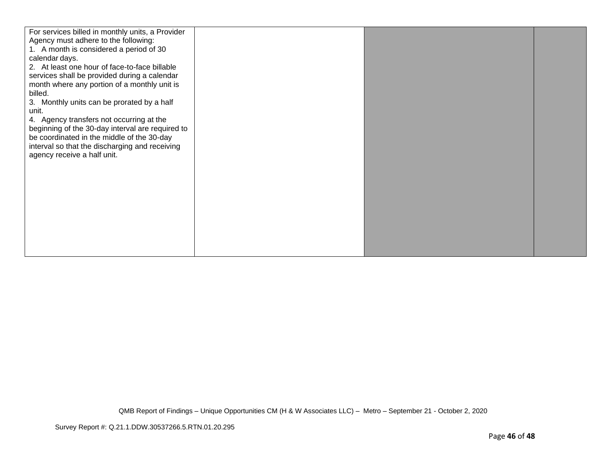| For services billed in monthly units, a Provider |  |  |
|--------------------------------------------------|--|--|
| Agency must adhere to the following:             |  |  |
| 1. A month is considered a period of 30          |  |  |
| calendar days.                                   |  |  |
| 2. At least one hour of face-to-face billable    |  |  |
| services shall be provided during a calendar     |  |  |
| month where any portion of a monthly unit is     |  |  |
| billed.                                          |  |  |
| 3. Monthly units can be prorated by a half       |  |  |
| unit.                                            |  |  |
| 4. Agency transfers not occurring at the         |  |  |
| beginning of the 30-day interval are required to |  |  |
| be coordinated in the middle of the 30-day       |  |  |
| interval so that the discharging and receiving   |  |  |
| agency receive a half unit.                      |  |  |
|                                                  |  |  |
|                                                  |  |  |
|                                                  |  |  |
|                                                  |  |  |
|                                                  |  |  |
|                                                  |  |  |
|                                                  |  |  |
|                                                  |  |  |
|                                                  |  |  |
|                                                  |  |  |
|                                                  |  |  |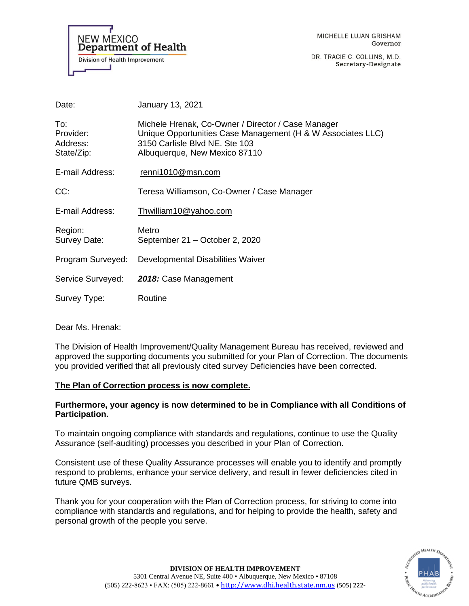

DR. TRACIE C. COLLINS, M.D. Secretary-Designate

| Date:                                      | January 13, 2021                                                                                                                                                                     |
|--------------------------------------------|--------------------------------------------------------------------------------------------------------------------------------------------------------------------------------------|
| To:<br>Provider:<br>Address:<br>State/Zip: | Michele Hrenak, Co-Owner / Director / Case Manager<br>Unique Opportunities Case Management (H & W Associates LLC)<br>3150 Carlisle Blvd NE, Ste 103<br>Albuquerque, New Mexico 87110 |
| E-mail Address:                            | renni1010@msn.com                                                                                                                                                                    |
| CC:                                        | Teresa Williamson, Co-Owner / Case Manager                                                                                                                                           |
| E-mail Address:                            | Thwilliam10@yahoo.com                                                                                                                                                                |
| Region:<br>Survey Date:                    | Metro<br>September 21 – October 2, 2020                                                                                                                                              |
| Program Surveyed:                          | Developmental Disabilities Waiver                                                                                                                                                    |
| Service Surveyed:                          | 2018: Case Management                                                                                                                                                                |
| Survey Type:                               | Routine                                                                                                                                                                              |

Dear Ms. Hrenak:

The Division of Health Improvement/Quality Management Bureau has received, reviewed and approved the supporting documents you submitted for your Plan of Correction. The documents you provided verified that all previously cited survey Deficiencies have been corrected.

# **The Plan of Correction process is now complete.**

# **Furthermore, your agency is now determined to be in Compliance with all Conditions of Participation.**

To maintain ongoing compliance with standards and regulations, continue to use the Quality Assurance (self-auditing) processes you described in your Plan of Correction.

Consistent use of these Quality Assurance processes will enable you to identify and promptly respond to problems, enhance your service delivery, and result in fewer deficiencies cited in future QMB surveys.

Thank you for your cooperation with the Plan of Correction process, for striving to come into compliance with standards and regulations, and for helping to provide the health, safety and personal growth of the people you serve.